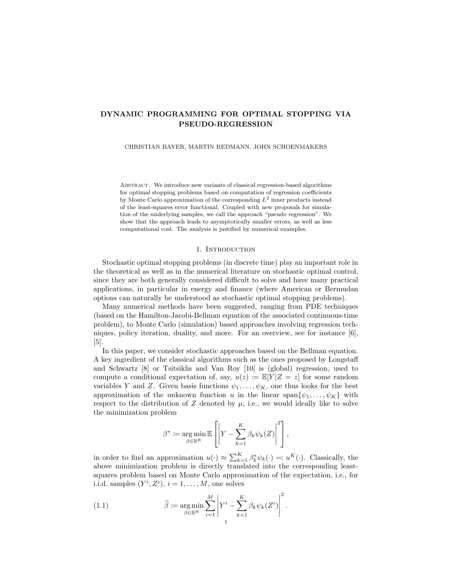# DYNAMIC PROGRAMMING FOR OPTIMAL STOPPING VIA PSEUDO-REGRESSION

CHRISTIAN BAYER, MARTIN REDMANN, JOHN SCHOENMAKERS

Abstract. We introduce new variants of classical regression-based algorithms for optimal stopping problems based on computation of regression coefficients by Monte Carlo approximation of the corresponding  $L^2$  inner products instead of the least-squares error functional. Coupled with new proposals for simulation of the underlying samples, we call the approach "pseudo regression". We show that the approach leads to asymptotically smaller errors, as well as less computational cost. The analysis is justified by numerical examples.

## 1. INTRODUCTION

Stochastic optimal stopping problems (in discrete time) play an important role in the theoretical as well as in the numerical literature on stochastic optimal control, since they are both generally considered difficult to solve and have many practical applications, in particular in energy and finance (where American or Bermudan options can naturally be understood as stochastic optimal stopping problems).

Many numerical methods have been suggested, ranging from PDE techniques (based on the Hamilton-Jacobi-Bellman equation of the associated continuous-time problem), to Monte Carlo (simulation) based approaches involving regression techniques, policy iteration, duality, and more. For an overview, see for instance [6], [5].

In this paper, we consider stochastic approaches based on the Bellman equation. A key ingredient of the classical algorithms such as the ones proposed by Longstaff and Schwartz [8] or Tsitsiklis and Van Roy [10] is (global) regression, used to compute a conditional expectation of, say,  $u(z) := \mathbb{E}[Y|Z=z]$  for some random variables Y and Z. Given basis functions  $\psi_1, \ldots, \psi_K$ , one thus looks for the best approximation of the unknown function u in the linear span $\{\psi_1, \ldots, \psi_K\}$  with respect to the distribution of Z denoted by  $\mu$ , i.e., we would ideally like to solve the minimization problem

$$
\beta^* := \underset{\beta \in \mathbb{R}^K}{\arg \min} \mathbb{E}\left[\left|Y - \sum_{k=1}^K \beta_k \psi_k(Z)\right|^2\right],
$$

in order to find an approximation  $u(\cdot) \approx \sum_{k=1}^{K} \beta_k^* \psi_k(\cdot) =: u^K(\cdot)$ . Classically, the above minimization problem is directly translated into the corresponding leastsquares problem based on Monte Carlo approximation of the expectation, i.e., for i.i.d. samples  $(Y^i, Z^i)$ ,  $i = 1, ..., M$ , one solves

 $\alpha$ 

(1.1) 
$$
\widehat{\beta} := \underset{\beta \in \mathbb{R}^K}{\arg \min} \sum_{i=1}^M \left| Y^i - \sum_{k=1}^K \beta_k \psi_k(Z^i) \right|^2.
$$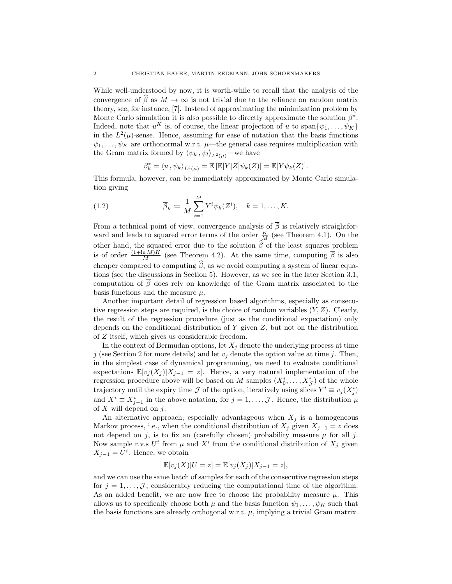While well-understood by now, it is worth-while to recall that the analysis of the convergence of  $\hat{\beta}$  as  $M \to \infty$  is not trivial due to the reliance on random matrix theory, see, for instance, [7]. Instead of approximating the minimization problem by Monte Carlo simulation it is also possible to directly approximate the solution  $\beta^*$ . Indeed, note that  $u^K$  is, of course, the linear projection of u to span $\{\psi_1, \ldots, \psi_K\}$ in the  $L^2(\mu)$ -sense. Hence, assuming for ease of notation that the basis functions  $\psi_1, \ldots, \psi_K$  are orthonormal w.r.t.  $\mu$ —the general case requires multiplication with the Gram matrix formed by  $\langle \psi_k, \psi_l \rangle_{L^2(\mu)}$ —we have

$$
\beta_k^* = \langle u, \psi_k \rangle_{L^2(\mu)} = \mathbb{E}\left[\mathbb{E}[Y|Z]\psi_k(Z)\right] = \mathbb{E}[Y\psi_k(Z)].
$$

This formula, however, can be immediately approximated by Monte Carlo simulation giving

(1.2) 
$$
\overline{\beta}_k := \frac{1}{M} \sum_{i=1}^M Y^i \psi_k(Z^i), \quad k = 1, ..., K.
$$

From a technical point of view, convergence analysis of  $\overline{\beta}$  is relatively straightforward and leads to squared error terms of the order  $\frac{K}{M}$  (see Theorem 4.1). On the other hand, the squared error due to the solution  $\beta$  of the least squares problem is of order  $\frac{(1+\ln M)K}{M}$  (see Theorem 4.2). At the same time, computing  $\bar{\beta}$  is also cheaper compared to computing  $\widehat{\beta}$ , as we avoid computing a system of linear equations (see the discussions in Section 5). However, as we see in the later Section 3.1, computation of  $\overline{\beta}$  does rely on knowledge of the Gram matrix associated to the basis functions and the measure  $\mu$ .

Another important detail of regression based algorithms, especially as consecutive regression steps are required, is the choice of random variables  $(Y, Z)$ . Clearly, the result of the regression procedure (just as the conditional expectation) only depends on the conditional distribution of  $Y$  given  $Z$ , but not on the distribution of Z itself, which gives us considerable freedom.

In the context of Bermudan options, let  $X_i$  denote the underlying process at time j (see Section 2 for more details) and let  $v_j$  denote the option value at time j. Then, in the simplest case of dynamical programming, we need to evaluate conditional expectations  $\mathbb{E}[v_j(X_j)|X_{j-1} = z]$ . Hence, a very natural implementation of the regression procedure above will be based on M samples  $(X_0^i, \ldots, X_{\mathcal{J}}^i)$  of the whole trajectory until the expiry time  $\mathcal J$  of the option, iteratively using slices  $Y^i \equiv v_j(X^i_j)$ and  $X^i \equiv X^i_{j-1}$  in the above notation, for  $j = 1, \ldots, \mathcal{J}$ . Hence, the distribution  $\mu$ of  $X$  will depend on  $j$ .

An alternative approach, especially advantageous when  $X_j$  is a homogeneous Markov process, i.e., when the conditional distribution of  $X_j$  given  $X_{j-1} = z$  does not depend on j, is to fix an (carefully chosen) probability measure  $\mu$  for all j. Now sample r.v.s  $U^i$  from  $\mu$  and  $X^i$  from the conditional distribution of  $X_j$  given  $X_{j-1} = U^i$ . Hence, we obtain

$$
\mathbb{E}[v_j(X)|U=z] = \mathbb{E}[v_j(X_j)|X_{j-1}=z],
$$

and we can use the same batch of samples for each of the consecutive regression steps for  $j = 1, \ldots, \mathcal{J}$ , considerably reducing the computational time of the algorithm. As an added benefit, we are now free to choose the probability measure  $\mu$ . This allows us to specifically choose both  $\mu$  and the basis function  $\psi_1, \ldots, \psi_K$  such that the basis functions are already orthogonal w.r.t.  $\mu$ , implying a trivial Gram matrix.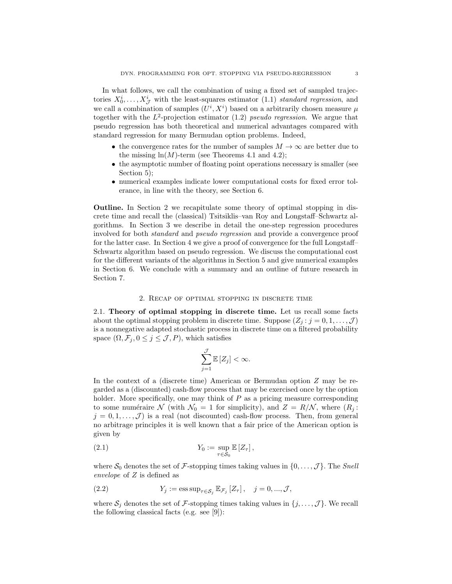In what follows, we call the combination of using a fixed set of sampled trajectories  $X_0^i, \ldots, X_{\mathcal{J}}^i$  with the least-squares estimator (1.1) standard regression, and we call a combination of samples  $(U^i, X^i)$  based on a arbitrarily chosen measure  $\mu$ together with the  $L^2$ -projection estimator (1.2) pseudo regression. We argue that pseudo regression has both theoretical and numerical advantages compared with standard regression for many Bermudan option problems. Indeed,

- the convergence rates for the number of samples  $M \to \infty$  are better due to the missing  $\ln(M)$ -term (see Theorems 4.1 and 4.2);
- the asymptotic number of floating point operations necessary is smaller (see Section 5);
- numerical examples indicate lower computational costs for fixed error tolerance, in line with the theory, see Section 6.

Outline. In Section 2 we recapitulate some theory of optimal stopping in discrete time and recall the (classical) Tsitsiklis–van Roy and Longstaff–Schwartz algorithms. In Section 3 we describe in detail the one-step regression procedures involved for both standard and pseudo regression and provide a convergence proof for the latter case. In Section 4 we give a proof of convergence for the full Longstaff– Schwartz algorithm based on pseudo regression. We discuss the computational cost for the different variants of the algorithms in Section 5 and give numerical examples in Section 6. We conclude with a summary and an outline of future research in Section 7.

### 2. Recap of optimal stopping in discrete time

2.1. Theory of optimal stopping in discrete time. Let us recall some facts about the optimal stopping problem in discrete time. Suppose  $(Z_i : j = 0, 1, \ldots, \mathcal{J})$ is a nonnegative adapted stochastic process in discrete time on a filtered probability space  $(\Omega, \mathcal{F}_i, 0 \leq j \leq \mathcal{J}, P)$ , which satisfies

$$
\sum_{j=1}^{\mathcal{J}} \mathbb{E}\left[Z_j\right] < \infty.
$$

In the context of a (discrete time) American or Bermudan option Z may be regarded as a (discounted) cash-flow process that may be exercised once by the option holder. More specifically, one may think of P as a pricing measure corresponding to some numéraire N (with  $\mathcal{N}_0 = 1$  for simplicity), and  $Z = R/N$ , where  $(R_j :$  $j = 0, 1, \ldots, \mathcal{J}$  is a real (not discounted) cash-flow process. Then, from general no arbitrage principles it is well known that a fair price of the American option is given by

(2.1) 
$$
Y_0 := \sup_{\tau \in S_0} \mathbb{E} [Z_\tau],
$$

where  $S_0$  denotes the set of F-stopping times taking values in  $\{0, \ldots, \mathcal{J}\}\.$  The Snell envelope of Z is defined as

(2.2) 
$$
Y_j := \operatorname{ess \, sup}_{\tau \in \mathcal{S}_j} \mathbb{E}_{\mathcal{F}_j} [Z_\tau], \quad j = 0, ..., \mathcal{J},
$$

where  $S_j$  denotes the set of F-stopping times taking values in  $\{j, \ldots, \mathcal{J}\}\.$  We recall the following classical facts (e.g. see [9]):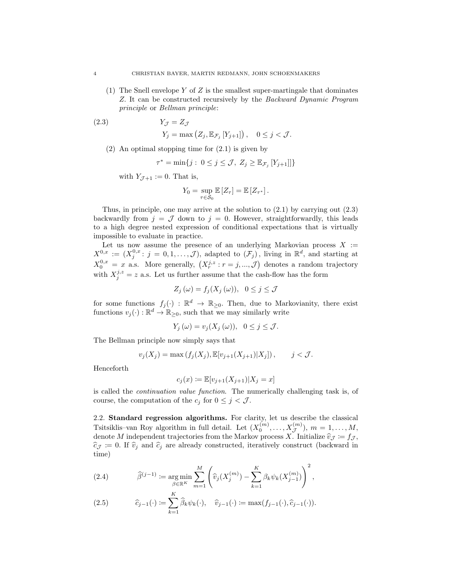(1) The Snell envelope Y of Z is the smallest super-martingale that dominates Z. It can be constructed recursively by the Backward Dynamic Program principle or Bellman principle:

(2.3) 
$$
Y_{\mathcal{J}} = Z_{\mathcal{J}}
$$

$$
Y_j = \max (Z_j, \mathbb{E}_{\mathcal{F}_j} [Y_{j+1}]), \quad 0 \le j < \mathcal{J}.
$$

(2) An optimal stopping time for (2.1) is given by

$$
\tau^* = \min\{j : 0 \le j \le \mathcal{J}, Z_j \ge \mathbb{E}_{\mathcal{F}_j}[Y_{j+1}]]\}
$$

with  $Y_{\mathcal{J}+1} := 0$ . That is,

$$
Y_0 = \sup_{\tau \in \mathcal{S}_0} \mathbb{E}\left[Z_{\tau}\right] = \mathbb{E}\left[Z_{\tau^*}\right].
$$

Thus, in principle, one may arrive at the solution to  $(2.1)$  by carrying out  $(2.3)$ backwardly from  $j = \mathcal{J}$  down to  $j = 0$ . However, straightforwardly, this leads to a high degree nested expression of conditional expectations that is virtually impossible to evaluate in practice.

Let us now assume the presence of an underlying Markovian process  $X :=$  $X^{0,x} := (X_j^{0,x} : j = 0,1,\ldots,\mathcal{J})$ , adapted to  $(\mathcal{F}_j)$ , living in  $\mathbb{R}^d$ , and starting at  $X_0^{0,x} = x$  a.s. More generally,  $(X_r^{j,z}: r = j, ..., \mathcal{J})$  denotes a random trajectory with  $X_j^{j,z} = z$  a.s. Let us further assume that the cash-flow has the form

$$
Z_j(\omega) = f_j(X_j(\omega)), \ \ 0 \le j \le \mathcal{J}
$$

for some functions  $f_j(\cdot) : \mathbb{R}^d \to \mathbb{R}_{\geq 0}$ . Then, due to Markovianity, there exist functions  $v_j(\cdot): \mathbb{R}^d \to \mathbb{R}_{\geq 0}$ , such that we may similarly write

$$
Y_j(\omega) = v_j(X_j(\omega)), \quad 0 \le j \le \mathcal{J}.
$$

The Bellman principle now simply says that

$$
v_j(X_j) = \max(f_j(X_j), \mathbb{E}[v_{j+1}(X_{j+1})|X_j]), \quad j < J.
$$

Henceforth

$$
c_j(x) := \mathbb{E}[v_{j+1}(X_{j+1}) | X_j = x]
$$

is called the continuation value function. The numerically challenging task is, of course, the computation of the  $c_j$  for  $0 \leq j < \mathcal{J}$ .

2.2. Standard regression algorithms. For clarity, let us describe the classical Tsitsiklis–van Roy algorithm in full detail. Let  $(X_0^{(m)},...,X_{\mathcal{J}}^{(m)}), m = 1,...,M$ , denote M independent trajectories from the Markov process X. Initialize  $\hat{v}_{\mathcal{J}} := f_{\mathcal{J}}$ ,  $\hat{\epsilon}_{\mathcal{J}} := 0$ . If  $\hat{v}_{\mathcal{J}}$  and  $\hat{\epsilon}_{\mathcal{J}}$  are already constructed, iteratively construct (backward in  $\hat{c}_{\mathcal{J}} := 0$ . If  $\hat{v}_j$  and  $\hat{c}_j$  are already constructed, iteratively construct (backward in time)

(2.4) 
$$
\widehat{\beta}^{(j-1)} := \underset{\substack{\beta \in \mathbb{R}^K \\ K}}{\arg \min} \sum_{m=1}^M \left( \widehat{v}_j(X_j^{(m)}) - \sum_{k=1}^K \beta_k \psi_k(X_{j-1}^{(m)}) \right)^2,
$$

(2.5) 
$$
\widehat{c}_{j-1}(\cdot) \coloneqq \sum_{k=1}^{N} \widehat{\beta}_k \psi_k(\cdot), \quad \widehat{v}_{j-1}(\cdot) \coloneqq \max(f_{j-1}(\cdot), \widehat{c}_{j-1}(\cdot)).
$$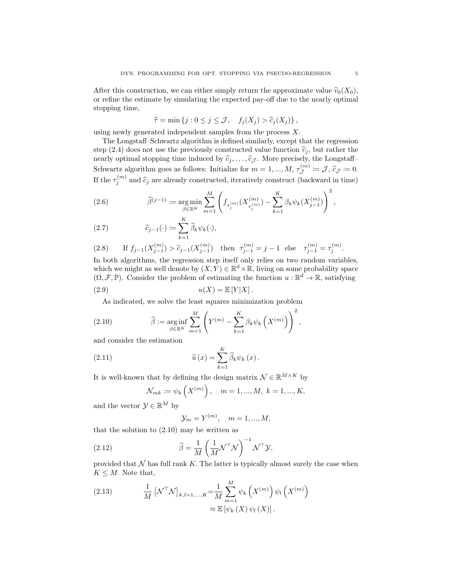After this construction, we can either simply return the approximate value  $\hat{v}_0(X_0)$ , or refine the estimate by simulating the expected pay-off due to the nearly optimal stopping time,

$$
\widehat{\tau} = \min \{ j : 0 \le j \le \mathcal{J}, \quad f_j(X_j) > \widehat{c}_j(X_j) \},
$$

using newly generated independent samples from the process X.

The Longstaff–Schwartz algorithm is defined similarly, except that the regression step (2.4) does not use the previously constructed value function  $\hat{v}_i$ , but rather the nearly optimal stopping time induced by  $\hat{c}_j, \ldots, \hat{c}_{\mathcal{J}}$ . More precisely, the Longstaff– Schwartz algorithm goes as follows: Initialize for  $m = 1, ..., M$ ,  $\tau_{\mathcal{J}}^{(m)} \coloneqq \mathcal{J}$ ,  $\hat{c}_{\mathcal{J}} \coloneqq 0$ . If the  $\tau_j^{(m)}$  and  $\hat{c}_j$  are already constructed, iteratively construct (backward in time)

(2.6) 
$$
\widehat{\beta}^{(j-1)} := \underset{\beta \in \mathbb{R}^K}{\arg \min} \sum_{m=1}^M \left( f_{\tau_j^{(m)}}(X_{\tau_j^{(m)}}^{(m)}) - \sum_{k=1}^K \beta_k \psi_k(X_{j-1}^{(m)}) \right)^2,
$$

(2.7) 
$$
\widehat{c}_{j-1}(\cdot) := \sum_{k=1}^{K} \widehat{\beta}_k \psi_k(\cdot),
$$

(2.8) If 
$$
f_{j-1}(X_{j-1}^{(m)}) > \hat{c}_{j-1}(X_{j-1}^{(m)})
$$
 then  $\tau_{j-1}^{(m)} = j - 1$  else  $\tau_{j-1}^{(m)} = \tau_j^{(m)}$ .

In both algorithms, the regression step itself only relies on two random variables, which we might as well denote by  $(X, Y) \in \mathbb{R}^d \times \mathbb{R}$ , living on some probability space  $(\Omega, \mathcal{F}, \mathbb{P})$ . Consider the problem of estimating the function  $u : \mathbb{R}^d \to \mathbb{R}$ , satisfying (2.9)  $u(X) = \mathbb{E}[Y|X]$ .

$$
\alpha(11) \quad \alpha(12) \quad \alpha(13) \quad \alpha(14) \quad \alpha(15) \quad \alpha(16) \quad \alpha(17) \quad \alpha(18) \quad \alpha(19) \quad \alpha(19) \quad \alpha(19) \quad \alpha(19) \quad \alpha(19) \quad \alpha(19) \quad \alpha(19) \quad \alpha(19) \quad \alpha(19) \quad \alpha(19) \quad \alpha(19) \quad \alpha(19) \quad \alpha(19) \quad \alpha(19) \quad \alpha(19) \quad \alpha(19) \quad \alpha(19) \quad \alpha(19) \quad \alpha(19) \quad \alpha(19) \quad \alpha(19) \quad \alpha(19) \quad \alpha(19) \quad \alpha(19) \quad \alpha(19) \quad \alpha(19) \quad \alpha(19) \quad \alpha(19) \quad \alpha(19) \quad \alpha(19) \quad \alpha(19) \quad \alpha(19) \quad \alpha(19) \quad \alpha(19) \quad \alpha(19) \quad \alpha(19) \quad \alpha(19) \quad \alpha(19) \quad \alpha(19) \quad \alpha(19) \quad \alpha(19) \quad \alpha(19) \quad \alpha(19) \quad \alpha(19) \quad \alpha(19) \quad \alpha(19) \quad \alpha(19) \quad \alpha(19) \quad \alpha(19) \quad \alpha(19) \quad \alpha(19) \quad \alpha(19) \quad \alpha(19) \quad \alpha(19) \quad \alpha(19) \quad \alpha(19) \quad \alpha(19) \quad \alpha(19) \quad \alpha(19) \quad \alpha(19) \quad \alpha(19) \quad \alpha(19) \quad \alpha(19) \quad \alpha(19) \quad \alpha(19) \quad \alpha(19) \quad \alpha(19) \quad \alpha(19) \quad \alpha(19) \quad \alpha(19) \quad \alpha(19) \quad \alpha(19) \quad \alpha(19) \quad \alpha(19) \quad \alpha(19) \quad \alpha(19) \quad \alpha(19) \quad \alpha(19) \quad \alpha(19) \quad \alpha(19) \quad \alpha(19) \quad \alpha(19) \quad \alpha(19) \quad \alpha(19) \quad \alpha(19) \quad \alpha(19) \quad \alpha(19) \quad
$$

As indicated, we solve the least squares minimization problem

(2.10) 
$$
\widehat{\beta} := \underset{\beta \in \mathbb{R}^K}{\arg \inf} \sum_{m=1}^M \left( Y^{(m)} - \sum_{k=1}^K \beta_k \psi_k \left( X^{(m)} \right) \right)^2,
$$

and consider the estimation

(2.11) 
$$
\widehat{u}(x) = \sum_{k=1}^{K} \widehat{\beta}_k \psi_k(x).
$$

It is well-known that by defining the design matrix  $\mathcal{N} \in \mathbb{R}^{M \times K}$  by

$$
\mathcal{N}_{mk} := \psi_k \left( X^{(m)} \right), \quad m = 1, ..., M, \ k = 1, ..., K,
$$

 $\overline{V}$ 

and the vector  $\mathcal{Y} \in \mathbb{R}^M$  by

$$
\mathcal{Y}_m = Y^{(m)}, \quad m = 1, \dots, M,
$$

that the solution to  $(2.10)$  may be written as

(2.12) 
$$
\widehat{\beta} = \frac{1}{M} \left( \frac{1}{M} \mathcal{N}^{\top} \mathcal{N} \right)^{-1} \mathcal{N}^{\top} \mathcal{Y},
$$

provided that  $N$  has full rank K. The latter is typically almost surely the case when  $K \leq M$ . Note that,

(2.13) 
$$
\frac{1}{M} \left[ \mathcal{N}^{\top} \mathcal{N} \right]_{k,l=1,...,K} = \frac{1}{M} \sum_{m=1}^{M} \psi_k \left( X^{(m)} \right) \psi_l \left( X^{(m)} \right) \\ \approx \mathbb{E} \left[ \psi_k \left( X \right) \psi_l \left( X \right) \right].
$$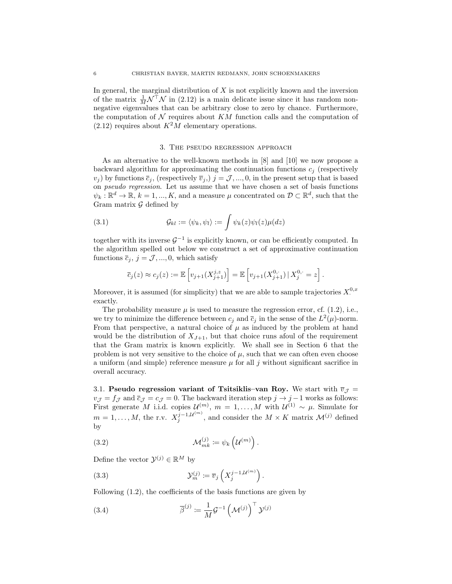In general, the marginal distribution of  $X$  is not explicitly known and the inversion of the matrix  $\frac{1}{M} \mathcal{N}^{\top} \mathcal{N}$  in (2.12) is a main delicate issue since it has random nonnegative eigenvalues that can be arbitrary close to zero by chance. Furthermore, the computation of  $\mathcal N$  requires about  $KM$  function calls and the computation of  $(2.12)$  requires about  $K^2M$  elementary operations.

#### 3. The pseudo regression approach

As an alternative to the well-known methods in [8] and [10] we now propose a backward algorithm for approximating the continuation functions  $c_j$  (respectively  $(v_j)$  by functions  $\bar{c}_j$ , (respectively  $\bar{v}_j$ ,)  $j = \mathcal{J}, ..., 0$ , in the present setup that is based on pseudo regression. Let us assume that we have chosen a set of basis functions  $\psi_k : \mathbb{R}^d \to \mathbb{R}, k = 1, ..., K$ , and a measure  $\mu$  concentrated on  $\mathcal{D} \subset \mathbb{R}^d$ , such that the Gram matrix  $\mathcal G$  defined by

(3.1) 
$$
\mathcal{G}_{kl} := \langle \psi_k, \psi_l \rangle := \int \psi_k(z) \psi_l(z) \mu(dz)
$$

together with its inverse  $\mathcal{G}^{-1}$  is explicitly known, or can be efficiently computed. In the algorithm spelled out below we construct a set of approximative continuation functions  $\overline{c}_j$ ,  $j = \mathcal{J}, ..., 0$ , which satisfy

$$
\overline{c}_j(z) \approx c_j(z) := \mathbb{E}\left[v_{j+1}(X_{j+1}^{j,z})\right] = \mathbb{E}\left[v_{j+1}(X_{j+1}^{0,\cdot})\,|\,X_j^{0,\cdot} = z\right].
$$

Moreover, it is assumed (for simplicity) that we are able to sample trajectories  $X^{0,x}$ . exactly.

The probability measure  $\mu$  is used to measure the regression error, cf. (1.2), i.e., we try to minimize the difference between  $c_j$  and  $\bar{c}_j$  in the sense of the  $L^2(\mu)$ -norm. From that perspective, a natural choice of  $\mu$  as induced by the problem at hand would be the distribution of  $X_{J+1}$ , but that choice runs afoul of the requirement that the Gram matrix is known explicitly. We shall see in Section 6 that the problem is not very sensitive to the choice of  $\mu$ , such that we can often even choose a uniform (and simple) reference measure  $\mu$  for all j without significant sacrifice in overall accuracy.

3.1. Pseudo regression variant of Tsitsiklis–van Roy. We start with  $\overline{v}_{\mathcal{J}} =$  $v_{\mathcal{J}} = f_{\mathcal{J}}$  and  $\bar{c}_{\mathcal{J}} = c_{\mathcal{J}} = 0$ . The backward iteration step  $j \to j - 1$  works as follows: First generate M i.i.d. copies  $\mathcal{U}^{(m)}$ ,  $m = 1, ..., M$  with  $\mathcal{U}^{(1)} \sim \mu$ . Simulate for  $m = 1, ..., M$ , the r.v.  $X_j^{j-1, \mathcal{U}^{(m)}}$  $j_j^{j-1,\mathcal{U}^{(m)}}$ , and consider the  $M \times K$  matrix  $\mathcal{M}^{(j)}$  defined by

(3.2) 
$$
\mathcal{M}_{mk}^{(j)} := \psi_k \left( \mathcal{U}^{(m)} \right).
$$

Define the vector  $\mathcal{Y}^{(j)} \in \mathbb{R}^M$  by

(3.3) 
$$
\mathcal{Y}_m^{(j)} \coloneqq \overline{v}_j \left( X_j^{j-1, \mathcal{U}^{(m)}} \right).
$$

Following (1.2), the coefficients of the basis functions are given by

(3.4) 
$$
\overline{\beta}^{(j)} \coloneqq \frac{1}{M} \mathcal{G}^{-1} \left( \mathcal{M}^{(j)} \right)^{\top} \mathcal{Y}^{(j)}
$$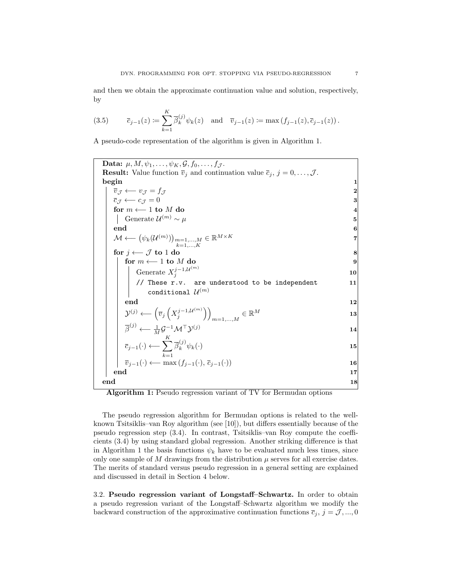and then we obtain the approximate continuation value and solution, respectively, by

(3.5) 
$$
\overline{c}_{j-1}(z) := \sum_{k=1}^{K} \overline{\beta}_{k}^{(j)} \psi_{k}(z) \text{ and } \overline{v}_{j-1}(z) := \max(f_{j-1}(z), \overline{c}_{j-1}(z)).
$$

A pseudo-code representation of the algorithm is given in Algorithm 1.

Data:  $\mu$ ,  $M$ ,  $\psi_1$ , ...,  $\psi_K$ ,  $\mathcal{G}$ ,  $f_0$ , ...,  $f_{\mathcal{J}}$ . **Result:** Value function  $\overline{v}_j$  and continuation value  $\overline{c}_j$ ,  $j = 0, \ldots, \mathcal{J}$ . begin the set of the set of the set of the set of the set of the set of the set of the set of the set of the set of the set of the set of the set of the set of the set of the set of the set of the set of the set of the set  $\overline{v}_\mathcal{J} \longleftarrow v_\mathcal{J} = f_\mathcal{J}$  2  $\overline{c}_\mathcal{J} \longleftarrow c_\mathcal{J} = 0$  3 for  $m \leftarrow 1$  to  $M$  do 4 Generate  $\mathcal{U}^{(m)} \sim \mu$  5 end the contract of  $\sim$  600  $^{\circ}$  . The contract of  $\sim$  600  $^{\circ}$  . The contract of  $\sim$  600  $^{\circ}$  . The contract of  $\sim$  600  $^{\circ}$  . The contract of  $\sim$  600  $^{\circ}$  . The contract of  $\sim$  600  $^{\circ}$  . The contract o  $\mathcal{M} \longleftarrow (\psi_k(\mathcal{U}^{(m)}))_{\substack{m=1,...,M\k=1,...,K}} \in \mathbb{R}^{M \times K}$  $\in \mathbb{R}^{M \times K}$ for  $j \leftarrow J$  to 1 do 8 for  $m \leftarrow 1$  to  $M$  do 9 Generate  $X_j^{j-1,\mathcal{U}^{(m)}}$  10 j // These  $r.v.$  are understood to be independent  $11$ conditional  $\mathcal{U}^{(m)}$ end the contract of the contract of  $\sim$  12  $\mathcal{Y}^{(j)} \longleftarrow \left(\overline{v}_j\left(X_j^{j-1,\mathcal{U}^{(m)}}\right)\right) \qquad \qquad \in \mathbb{R}^M$  $\binom{j-1,\mathcal{U}^{(m)}}{j}$  $_{m=1,...,M}\in \mathbb{R}^M$  $\overline{\beta}^{(j)} \longleftarrow \frac{1}{M} \mathcal{G}^{-1} \mathcal{M}^\top \mathcal{Y}^{(j)}$  14  $\overline{c}_{j-1}(\cdot) \longleftarrow \sum_{k}^{K} \overline{\beta}_k^{(j)} \psi_k(\cdot)$  15  $k=1$  $\overline{\beta}_k^{(j)} \psi_k(\cdot)$  $\overline{v}_{j-1}(\cdot) \longleftarrow \max(f_{j-1}(\cdot), \overline{c}_{j-1}(\cdot))$  16 end 17 end 18

Algorithm 1: Pseudo regression variant of TV for Bermudan options

The pseudo regression algorithm for Bermudan options is related to the wellknown Tsitsiklis–van Roy algorithm (see [10]), but differs essentially because of the pseudo regression step (3.4). In contrast, Tsitsiklis–van Roy compute the coefficients (3.4) by using standard global regression. Another striking difference is that in Algorithm 1 the basis functions  $\psi_k$  have to be evaluated much less times, since only one sample of M drawings from the distribution  $\mu$  serves for all exercise dates. The merits of standard versus pseudo regression in a general setting are explained and discussed in detail in Section 4 below.

3.2. Pseudo regression variant of Longstaff–Schwartz. In order to obtain a pseudo regression variant of the Longstaff–Schwartz algorithm we modify the backward construction of the approximative continuation functions  $\bar{c}_j$ ,  $j = \mathcal{J}, ..., 0$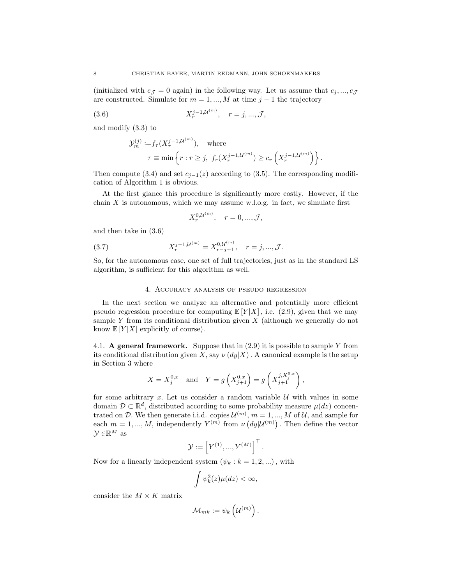(initialized with  $\bar{c}_{\mathcal{J}} = 0$  again) in the following way. Let us assume that  $\bar{c}_j, ..., \bar{c}_{\mathcal{J}}$ are constructed. Simulate for  $m = 1, ..., M$  at time  $j - 1$  the trajectory

(3.6) 
$$
X_r^{j-1,\mathcal{U}^{(m)}}, \quad r = j, ..., \mathcal{J},
$$

and modify (3.3) to

$$
\mathcal{Y}_m^{(j)} \coloneqq f_\tau(X_\tau^{j-1,\mathcal{U}^{(m)}}), \quad \text{where}
$$

$$
\tau \equiv \min \left\{ r : r \ge j, \ f_r(X_r^{j-1,\mathcal{U}^{(m)}}) \ge \overline{c}_r \left( X_r^{j-1,\mathcal{U}^{(m)}} \right) \right\}.
$$

Then compute (3.4) and set  $\overline{c}_{j-1}(z)$  according to (3.5). The corresponding modification of Algorithm 1 is obvious.

At the first glance this procedure is significantly more costly. However, if the chain  $X$  is autonomous, which we may assume w.l.o.g. in fact, we simulate first

$$
X_r^{0,\mathcal{U}^{(m)}}, \quad r = 0, ..., \mathcal{J},
$$

and then take in (3.6)

(3.7) 
$$
X_r^{j-1,\mathcal{U}^{(m)}} = X_{r-j+1}^{0,\mathcal{U}^{(m)}}, \quad r = j, ..., \mathcal{J}.
$$

So, for the autonomous case, one set of full trajectories, just as in the standard LS algorithm, is sufficient for this algorithm as well.

#### 4. Accuracy analysis of pseudo regression

In the next section we analyze an alternative and potentially more efficient pseudo regression procedure for computing  $\mathbb{E}[Y|X]$ , i.e. (2.9), given that we may sample Y from its conditional distribution given  $X$  (although we generally do not know  $\mathbb{E}[Y|X]$  explicitly of course).

4.1. A general framework. Suppose that in  $(2.9)$  it is possible to sample Y from its conditional distribution given X, say  $\nu(dy|X)$ . A canonical example is the setup in Section 3 where

$$
X = X_j^{0,x} \quad \text{and} \quad Y = g\left(X_{j+1}^{0,x}\right) = g\left(X_{j+1}^{j,X_j^{0,x}}\right),
$$

for some arbitrary  $x$ . Let us consider a random variable  $U$  with values in some domain  $\mathcal{D} \subset \mathbb{R}^d$ , distributed according to some probability measure  $\mu(dz)$  concentrated on D. We then generate i.i.d. copies  $\mathcal{U}^{(m)}$ ,  $m = 1, ..., M$  of U, and sample for each  $m = 1, ..., M$ , independently  $Y^{(m)}$  from  $\nu (dy | \mathcal{U}^{(m)})$ . Then define the vector  $\mathcal{Y} \in \mathbb{R}^M$  as

$$
\mathcal{Y} := \left[ Y^{(1)}, ..., Y^{(M)} \right]^\top.
$$

Now for a linearly independent system  $(\psi_k : k = 1, 2, ...)$ , with

$$
\int \psi_k^2(z)\mu(dz) < \infty,
$$

consider the  $M \times K$  matrix

$$
\mathcal{M}_{mk}:=\psi_k\left(\mathcal{U}^{(m)}\right).
$$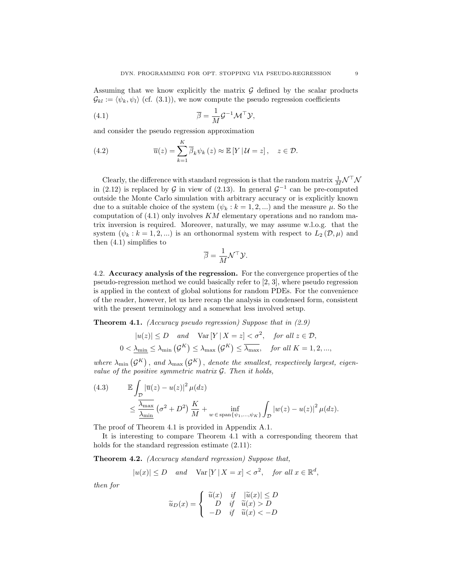Assuming that we know explicitly the matrix  $\mathcal G$  defined by the scalar products  $\mathcal{G}_{kl} := \langle \psi_k, \psi_l \rangle$  (cf. (3.1)), we now compute the pseudo regression coefficients

(4.1) 
$$
\overline{\beta} = \frac{1}{M} \mathcal{G}^{-1} \mathcal{M}^{\top} \mathcal{Y},
$$

and consider the pseudo regression approximation

(4.2) 
$$
\overline{u}(z) = \sum_{k=1}^{K} \overline{\beta}_k \psi_k(z) \approx \mathbb{E}[Y | \mathcal{U} = z], \quad z \in \mathcal{D}.
$$

Clearly, the difference with standard regression is that the random matrix  $\frac{1}{M} \mathcal{N}^{\top} \mathcal{N}$ in (2.12) is replaced by G in view of (2.13). In general  $\mathcal{G}^{-1}$  can be pre-computed outside the Monte Carlo simulation with arbitrary accuracy or is explicitly known due to a suitable choice of the system  $(\psi_k : k = 1, 2, ...)$  and the measure  $\mu$ . So the computation of  $(4.1)$  only involves KM elementary operations and no random matrix inversion is required. Moreover, naturally, we may assume w.l.o.g. that the system  $(\psi_k : k = 1, 2, ...)$  is an orthonormal system with respect to  $L_2(\mathcal{D}, \mu)$  and then  $(4.1)$  simplifies to

$$
\overline{\beta} = \frac{1}{M} \mathcal{N}^\top \mathcal{Y}.
$$

4.2. Accuracy analysis of the regression. For the convergence properties of the pseudo-regression method we could basically refer to [2, 3], where pseudo regression is applied in the context of global solutions for random PDEs. For the convenience of the reader, however, let us here recap the analysis in condensed form, consistent with the present terminology and a somewhat less involved setup.

**Theorem 4.1.** (Accuracy pseudo regression) Suppose that in  $(2.9)$ 

$$
|u(z)| \le D \quad \text{and} \quad \text{Var}\left[Y \mid X = z\right] < \sigma^2, \quad \text{for all } z \in \mathcal{D},
$$
\n
$$
0 < \underline{\lambda_{\min}} \le \lambda_{\min}\left(\mathcal{G}^K\right) \le \lambda_{\max}\left(\mathcal{G}^K\right) \le \overline{\lambda_{\max}}, \quad \text{for all } K = 1, 2, \dots,
$$

where  $\lambda_{\min}(\mathcal{G}^K)$ , and  $\lambda_{\max}(\mathcal{G}^K)$ , denote the smallest, respectively largest, eigenvalue of the positive symmetric matrix  $\mathcal G$ . Then it holds,

(4.3) 
$$
\mathbb{E} \int_{\mathcal{D}} \left| \overline{u}(z) - u(z) \right|^2 \mu(dz)
$$
  
 
$$
\leq \frac{\overline{\lambda_{\max}}}{\underline{\lambda_{\min}}} \left( \sigma^2 + D^2 \right) \frac{K}{M} + \inf_{w \in \text{span}\{\psi_1, ..., \psi_K\}} \int_{\mathcal{D}} \left| w(z) - u(z) \right|^2 \mu(dz).
$$

The proof of Theorem 4.1 is provided in Appendix A.1.

It is interesting to compare Theorem 4.1 with a corresponding theorem that holds for the standard regression estimate (2.11):

Theorem 4.2. (Accuracy standard regression) Suppose that,

$$
|u(x)| \le D \quad and \quad \text{Var}\left[Y \mid X = x\right] < \sigma^2, \quad \text{for all } x \in \mathbb{R}^d,
$$

then for

$$
\widetilde{u}_D(x) = \begin{cases}\n\widetilde{u}(x) & \text{if } \quad |\widetilde{u}(x)| \le D \\
D & \text{if } \quad \widetilde{u}(x) > D \\
-D & \text{if } \quad \widetilde{u}(x) < -D\n\end{cases}
$$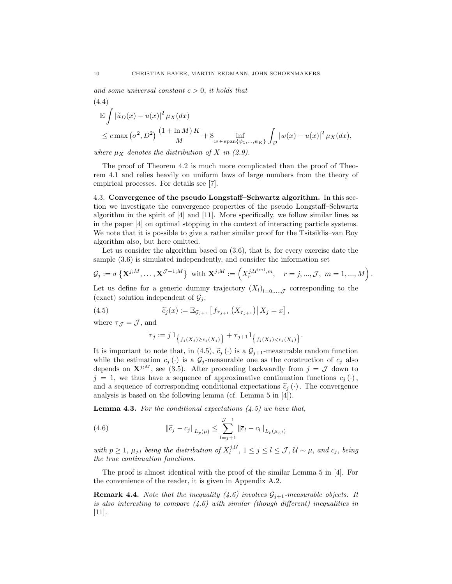and some universal constant  $c > 0$ , it holds that

$$
(4.4)
$$
  
\n
$$
\mathbb{E} \int |\widetilde{u}_D(x) - u(x)|^2 \mu_X(dx)
$$
  
\n
$$
\leq c \max (\sigma^2, D^2) \frac{(1 + \ln M)K}{M} + 8 \inf_{w \in \text{span}\{\psi_1, \dots, \psi_K\}} \int_{\mathcal{D}} |w(x) - u(x)|^2 \mu_X(dx),
$$

where  $\mu_X$  denotes the distribution of X in (2.9).

The proof of Theorem 4.2 is much more complicated than the proof of Theorem 4.1 and relies heavily on uniform laws of large numbers from the theory of empirical processes. For details see [7].

4.3. Convergence of the pseudo Longstaff–Schwartz algorithm. In this section we investigate the convergence properties of the pseudo Longstaff–Schwartz algorithm in the spirit of  $[4]$  and  $[11]$ . More specifically, we follow similar lines as in the paper [4] on optimal stopping in the context of interacting particle systems. We note that it is possible to give a rather similar proof for the Tsitsiklis–van Roy algorithm also, but here omitted.

Let us consider the algorithm based on  $(3.6)$ , that is, for every exercise date the sample (3.6) is simulated independently, and consider the information set

$$
\mathcal{G}_j := \sigma \left\{ \mathbf{X}^{j,M}, \ldots, \mathbf{X}^{\mathcal{J}-1;M} \right\} \text{ with } \mathbf{X}^{j;M} := \left( X_r^{j,\mathcal{U}^{(m)},m}, \quad r = j,...,\mathcal{J}, \ m = 1,...,M \right).
$$

Let us define for a generic dummy trajectory  $(X_l)_{l=0,\dots,\mathcal{J}}$  corresponding to the (exact) solution independent of  $\mathcal{G}_j$ ,

(4.5) 
$$
\widetilde{c}_j(x) := \mathbb{E}_{\mathcal{G}_{j+1}} \left[ f_{\overline{\tau}_{j+1}} \left( X_{\overline{\tau}_{j+1}} \right) \middle| X_j = x \right],
$$

where  $\overline{\tau}_{\mathcal{J}} = \mathcal{J}$ , and

$$
\overline{\tau}_j := j \, 1_{\big\{f_j(X_j) \geq \overline{c}_j(X_j)\big\}} + \overline{\tau}_{j+1} 1_{\big\{f_j(X_j) < \overline{c}_j(X_j)\big\}}.
$$

It is important to note that, in (4.5),  $\tilde{c}_j(\cdot)$  is a  $\mathcal{G}_{j+1}$ -measurable random function while the estimation  $\bar{c}_j(\cdot)$  is a  $\mathcal{G}_j$ -measurable one as the construction of  $\bar{c}_j$  also depends on  $X^{j,M}$ , see (3.5). After proceeding backwardly from  $j = \mathcal{J}$  down to  $j = 1$ , we thus have a sequence of approximative continuation functions  $\bar{c}_i(\cdot)$ , and a sequence of corresponding conditional expectations  $\tilde{c}_i(\cdot)$ . The convergence analysis is based on the following lemma (cf. Lemma 5 in [4]).

**Lemma 4.3.** For the conditional expectations  $(4.5)$  we have that,

(4.6) 
$$
\|\widetilde{c}_j - c_j\|_{L_p(\mu)} \leq \sum_{l=j+1}^{\mathcal{J}-1} \|\overline{c}_l - c_l\|_{L_p(\mu_{j,l})}
$$

with  $p \geq 1$ ,  $\mu_{j,l}$  being the distribution of  $X_l^{j,\mathcal{U}}, 1 \leq j \leq l \leq \mathcal{J}, \mathcal{U} \sim \mu$ , and  $c_j$ , being the true continuation functions.

The proof is almost identical with the proof of the similar Lemma 5 in [4]. For the convenience of the reader, it is given in Appendix A.2.

**Remark 4.4.** Note that the inequality (4.6) involves  $\mathcal{G}_{j+1}$ -measurable objects. It is also interesting to compare  $(4.6)$  with similar (though different) inequalities in [11].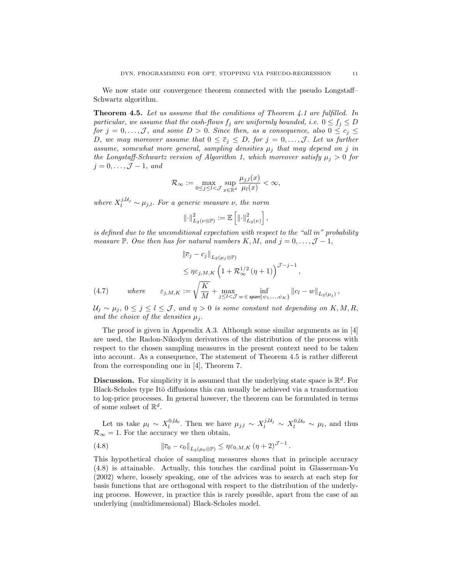We now state our convergence theorem connected with the pseudo Longstaff– Schwartz algorithm.

Theorem 4.5. Let us assume that the conditions of Theorem 4.1 are fulfilled. In particular, we assume that the cash-flows  $f_i$  are uniformly bounded, i.e.  $0 \le f_i \le D$ for  $j = 0, \ldots, \mathcal{J}$ , and some  $D > 0$ . Since then, as a consequence, also  $0 \leq c_j \leq \mathcal{J}$ D, we may moreover assume that  $0 \le \overline{c}_j \le D$ , for  $j = 0, \ldots, \mathcal{J}$ . Let us further assume, somewhat more general, sampling densities  $\mu_j$  that may depend on j in the Longstaff-Schwartz version of Algorithm 1, which moreover satisfy  $\mu_j > 0$  for  $j = 0, \ldots, \mathcal{J} - 1, \text{ and}$ 

$$
\mathcal{R}_{\infty} := \max_{0 \leq j \leq l < \mathcal{J}} \sup_{x \in \mathbb{R}^d} \frac{\mu_{j,l}(x)}{\mu_l(x)} < \infty,
$$

where  $X_l^{j,\mathcal{U}_j} \sim \mu_{j,l}$ . For a generic measure  $\nu$ , the norm

$$
\left\|\cdot\right\|_{L_2(\nu\otimes\mathbb{P})}^2:=\mathbb{E}\left[\left\|\cdot\right\|_{L_2(\nu)}^2\right],
$$

is defined due to the unconditional expectation with respect to the "all in" probability measure P. One then has for natural numbers K, M, and  $j = 0, \ldots, \mathcal{J} - 1$ ,

(4.7) 
$$
\|\overline{c}_{j} - c_{j}\|_{L_{2}(\mu_{j} \otimes \mathbb{P})} \leq \eta \varepsilon_{j,M,K} \left(1 + \mathcal{R}_{\infty}^{1/2}(\eta + 1)\right)^{\mathcal{J} - j - 1},
$$
  

$$
\varepsilon_{j,M,K} := \sqrt{\frac{K}{M}} + \max_{j \leq l < \mathcal{J}} \inf_{w \in \text{span}\{\psi_{1}, \dots, \psi_{K}\}} \|c_{l} - w\|_{L_{2}(\mu_{j})},
$$

 $U_j \sim \mu_j$ ,  $0 \le j \le l \le \mathcal{J}$ , and  $\eta > 0$  is some constant not depending on  $K, M, R$ , and the choice of the densities  $\mu_i$ .

The proof is given in Appendix A.3. Although some similar arguments as in  $[4]$ are used, the Radon-Nikodym derivatives of the distribution of the process with respect to the chosen sampling measures in the present context need to be taken into account. As a consequence, The statement of Theorem 4.5 is rather different from the corresponding one in [4], Theorem 7.

**Discussion.** For simplicity it is assumed that the underlying state space is  $\mathbb{R}^d$ . For Black-Scholes type Itô diffusions this can usually be achieved via a transformation to log-price processes. In general however, the theorem can be formulated in terms of some subset of  $\mathbb{R}^d$ .

Let us take  $\mu_l \sim X_l^{0, U_0}$ . Then we have  $\mu_{j,l} \sim X_l^{j, U_j} \sim X_l^{0, U_0} \sim \mu_l$ , and thus  $\mathcal{R}_{\infty} = 1$ . For the accuracy we then obtain,

(4.8) 
$$
\|\overline{c}_0 - c_0\|_{L_2(\mu_0 \otimes \mathbb{P})} \leq \eta \varepsilon_{0,M,K} (\eta + 2)^{\mathcal{J}-1}.
$$

This hypothetical choice of sampling measures shows that in principle accuracy (4.8) is attainable. Actually, this touches the cardinal point in Glasserman-Yu (2002) where, loosely speaking, one of the advices was to search at each step for basis functions that are orthogonal with respect to the distribution of the underlying process. However, in practice this is rarely possible, apart from the case of an underlying (multidimensional) Black-Scholes model.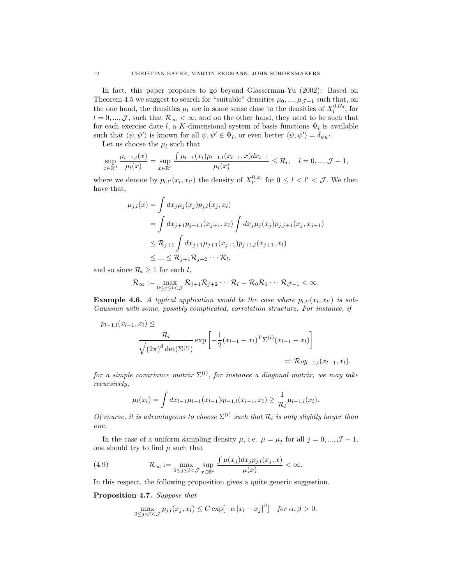In fact, this paper proposes to go beyond Glasserman-Yu (2002): Based on Theorem 4.5 we suggest to search for "suitable" densities  $\mu_0, ..., \mu_{\mathcal{J}-1}$  such that, on the one hand, the densities  $\mu_l$  are in some sense close to the densities of  $X_l^{0,\mathcal{U}_0}$ , for  $l = 0, ..., \mathcal{J}$ , such that  $\mathcal{R}_{\infty} < \infty$ , and on the other hand, they need to be such that for each exercise date l, a K-dimensional system of basis functions  $\Psi_l$  is available such that  $\langle \psi, \psi' \rangle$  is known for all  $\psi, \psi' \in \Psi_l$ , or even better  $\langle \psi, \psi' \rangle = \delta_{\psi \psi'}$ .

Let us choose the  $\mu_l$  such that

$$
\sup_{x \in \mathbb{R}^d} \frac{\mu_{l-1,l}(x)}{\mu_l(x)} = \sup_{x \in \mathbb{R}^d} \frac{\int \mu_{l-1}(x_l) p_{l-1,l}(x_{l-1}, x) dx_{l-1}}{\mu_l(x)} \leq \mathcal{R}_l, \quad l = 0, ..., \mathcal{J} - 1,
$$

where we denote by  $p_{l,l'}(x_l, x_{l'})$  the density of  $X_{l'}^{0,x_l}$  for  $0 \leq l < l' < \mathcal{J}$ . We then have that,

$$
\mu_{j,l}(x) = \int dx_j \mu_j(x_j) p_{j,l}(x_j, x_l)
$$
  
= 
$$
\int dx_{j+1} p_{j+1,l}(x_{j+1}, x_l) \int dx_j \mu_j(x_j) p_{j,j+1}(x_j, x_{j+1})
$$
  

$$
\leq \mathcal{R}_{j+1} \int dx_{j+1} \mu_{j+1}(x_{j+1}) p_{j+1,l}(x_{j+1}, x_l)
$$
  

$$
\leq \dots \leq \mathcal{R}_{j+1} \mathcal{R}_{j+2} \dots \mathcal{R}_l,
$$

and so since  $\mathcal{R}_l \geq 1$  for each l,

$$
\mathcal{R}_{\infty} := \max_{0 \leq j \leq l < \mathcal{J}} \mathcal{R}_{j+1} \mathcal{R}_{j+2} \cdots \mathcal{R}_l = \mathcal{R}_0 \mathcal{R}_1 \cdots \mathcal{R}_{\mathcal{J}-1} < \infty.
$$

**Example 4.6.** A typical application would be the case where  $p_{l,l'}(x_l, x_{l'})$  is sub-Gaussian with some, possibly complicated, correlation structure. For instance, if

$$
p_{l-1,l}(x_{l-1},x_l) \leq \frac{\mathcal{R}_l}{\sqrt{(2\pi)^d \det(\Sigma^{(l)})}} \exp\left[-\frac{1}{2}(x_{l-1}-x_l)^T \Sigma^{(l)}(x_{l-1}-x_l)\right]
$$
  
=:  $\mathcal{R}_l q_{l-1,l}(x_{l-1},x_l)$ ,

for a simple covariance matrix  $\Sigma^{(l)}$ , for instance a diagonal matrix, we may take recursively,

$$
\mu_l(x_l) = \int dx_{l-1} \mu_{l-1}(x_{l-1}) q_{l-1,l}(x_{l-1}, x_l) \geq \frac{1}{\mathcal{R}_l} \mu_{l-1,l}(x_l).
$$

Of course, it is advantageous to choose  $\Sigma^{(l)}$  such that  $\mathcal{R}_l$  is only slightly larger than one.

In the case of a uniform sampling density  $\mu$ , i.e.  $\mu = \mu_j$  for all  $j = 0, ..., \mathcal{J} - 1$ , one should try to find  $\mu$  such that

(4.9) 
$$
\mathcal{R}_{\infty} := \max_{0 \leq j \leq l < \mathcal{J}} \sup_{x \in \mathbb{R}^d} \frac{\int \mu(x_j) dx_j p_{j,l}(x_j, x)}{\mu(x)} < \infty.
$$

In this respect, the following proposition gives a quite generic suggestion.

Proposition 4.7. Suppose that

$$
\max_{0 \le j < l < \mathcal{J}} p_{j,l}(x_j, x_l) \le C \exp[-\alpha |x_l - x_j|^\beta] \quad \text{for } \alpha, \beta > 0.
$$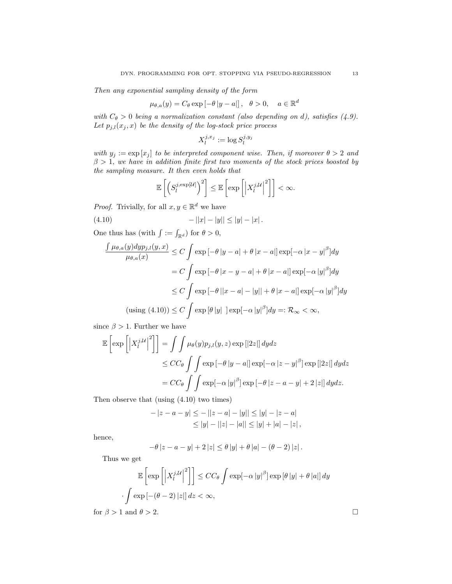Then any exponential sampling density of the form

$$
\mu_{\theta,a}(y) = C_{\theta} \exp \left[-\theta |y-a|\right], \quad \theta > 0, \quad a \in \mathbb{R}^d
$$

with  $C_{\theta} > 0$  being a normalization constant (also depending on d), satisfies (4.9). Let  $p_{j,l}(x_j, x)$  be the density of the log-stock price process

$$
X_l^{j,x_j} := \log S_l^{j,y_j}
$$

with  $y_j := \exp[x_j]$  to be interpreted component wise. Then, if moreover  $\theta > 2$  and  $\beta > 1$ , we have in addition finite first two moments of the stock prices boosted by the sampling measure. It then even holds that

$$
\mathbb{E}\left[\left(S_l^{j,\exp[\mathcal{U}]} \right)^2\right] \leq \mathbb{E}\left[\exp\left[\left|X_l^{j,\mathcal{U}} \right|^2\right]\right] < \infty.
$$

*Proof.* Trivially, for all  $x, y \in \mathbb{R}^d$  we have

$$
(4.10) \t - ||x| - |y|| \le |y| - |x|.
$$

One thus has (with  $\int := \int_{\mathbb{R}^d}$ ) for  $\theta > 0$ ,

$$
\frac{\int \mu_{\theta,a}(y) \, dy p_{j,l}(y,x)}{\mu_{\theta,a}(x)} \le C \int \exp\left[-\theta \, |y-a| + \theta \, |x-a|\right] \exp\left[-\alpha \, |x-y|^{\beta}\right] dy
$$
\n
$$
= C \int \exp\left[-\theta \, |x-y-a| + \theta \, |x-a|\right] \exp\left[-\alpha \, |y|^{\beta}\right] dy
$$
\n
$$
\le C \int \exp\left[-\theta \, |x-a| - |y|\right] + \theta \, |x-a|\right] \exp\left[-\alpha \, |y|^{\beta}\right] dy
$$
\n(using (4.10)) \le C \int \exp\left[\theta \, |y|\right] \exp\left[-\alpha \, |y|^{\beta}\right] dy =: \mathcal{R}\_{\infty} < \infty,

since  $\beta > 1$ . Further we have

$$
\mathbb{E}\left[\exp\left[\left|X_{l}^{j,\mathcal{U}}\right|^{2}\right]\right] = \int\int\mu_{\theta}(y)p_{j,l}(y,z)\exp\left[|2z|\right]dydz
$$
  
\n
$$
\leq CC_{\theta}\int\int\exp\left[-\theta\left|y-a\right|\right]\exp[-\alpha\left|z-y\right|^{\beta}]\exp\left[|2z|\right]dydz
$$
  
\n
$$
= CC_{\theta}\int\int\exp[-\alpha\left|y\right|^{\beta}]\exp\left[-\theta\left|z-a-y\right|+2\left|z\right|\right]dydz.
$$

Then observe that (using (4.10) two times)

$$
-|z - a - y| \le -||z - a| - |y|| \le |y| - |z - a|
$$
  
\n
$$
\le |y| - ||z| - |a|| \le |y| + |a| - |z|,
$$

hence,

$$
-\theta |z - a - y| + 2 |z| \le \theta |y| + \theta |a| - (\theta - 2) |z|.
$$

Thus we get

$$
\mathbb{E}\left[\exp\left[\left|X_l^{j,\mathcal{U}}\right|^2\right]\right] \le CC_\theta \int \exp[-\alpha|y|^\beta] \exp[\theta|y| + \theta|a|] dy
$$

$$
\int \exp[-(\theta-2)|z|] dz < \infty,
$$
for  $\beta > 1$  and  $\theta > 2$ .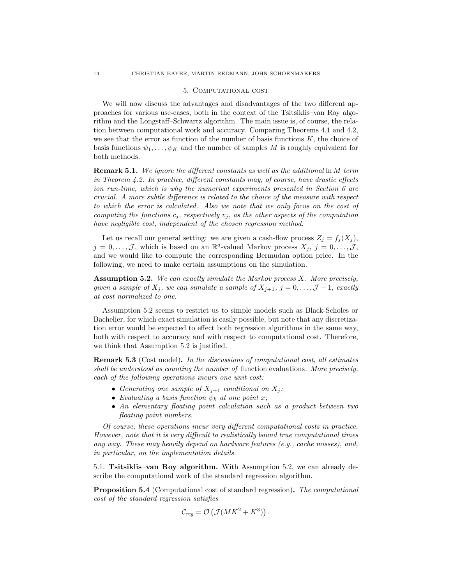## 5. Computational cost

We will now discuss the advantages and disadvantages of the two different approaches for various use-cases, both in the context of the Tsitsiklis–van Roy algorithm and the Longstaff–Schwartz algorithm. The main issue is, of course, the relation between computational work and accuracy. Comparing Theorems 4.1 and 4.2, we see that the error as function of the number of basis functions  $K$ , the choice of basis functions  $\psi_1, \ldots, \psi_K$  and the number of samples M is roughly equivalent for both methods.

**Remark 5.1.** We ignore the different constants as well as the additional  $\ln M$  term in Theorem  $4.2$ . In practice, different constants may, of course, have drastic effects ion run-time, which is why the numerical experiments presented in Section 6 are crucial. A more subtle difference is related to the choice of the measure with respect to which the error is calculated. Also we note that we only focus on the cost of computing the functions  $c_j$ , respectively  $v_j$ , as the other aspects of the computation have negligible cost, independent of the chosen regression method.

Let us recall our general setting: we are given a cash-flow process  $Z_j = f_j(X_j)$ ,  $j = 0, \ldots, \mathcal{J}$ , which is based on an  $\mathbb{R}^d$ -valued Markov process  $X_j$ ,  $j = 0, \ldots, \mathcal{J}$ , and we would like to compute the corresponding Bermudan option price. In the following, we need to make certain assumptions on the simulation.

Assumption 5.2. We can exactly simulate the Markov process X. More precisely, given a sample of  $X_j$ , we can simulate a sample of  $X_{j+1}$ ,  $j = 0, \ldots, \mathcal{J} - 1$ , exactly at cost normalized to one.

Assumption 5.2 seems to restrict us to simple models such as Black-Scholes or Bachelier, for which exact simulation is easily possible, but note that any discretization error would be expected to effect both regression algorithms in the same way, both with respect to accuracy and with respect to computational cost. Therefore, we think that Assumption 5.2 is justified.

Remark 5.3 (Cost model). In the discussions of computational cost, all estimates shall be understood as counting the number of function evaluations. More precisely, each of the following operations incurs one unit cost:

- Generating one sample of  $X_{j+1}$  conditional on  $X_j$ ;
- Evaluating a basis function  $\psi_k$  at one point x;
- An elementary floating point calculation such as a product between two floating point numbers.

Of course, these operations incur very different computational costs in practice. However, note that it is very difficult to realistically bound true computational times any way. These may heavily depend on hardware features (e.g., cache misses), and, in particular, on the implementation details.

5.1. Tsitsiklis–van Roy algorithm. With Assumption 5.2, we can already describe the computational work of the standard regression algorithm.

Proposition 5.4 (Computational cost of standard regression). The computational cost of the standard regression satisfies

$$
\mathcal{C}_{reg} = \mathcal{O}\left(\mathcal{J}(MK^2 + K^3)\right).
$$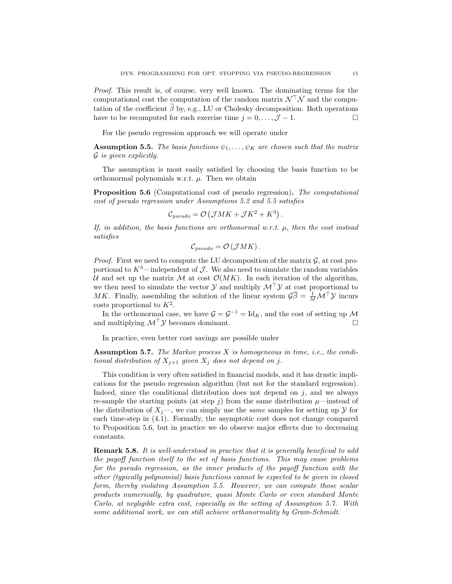Proof. This result is, of course, very well known. The dominating terms for the computational cost the computation of the random matrix  $\mathcal{N}^{\top}\mathcal{N}$  and the computation of the coefficient  $\tilde{\beta}$  by, e.g., LU or Cholesky decomposition. Both operations have to be recomputed for each exercise time  $i = 0, \ldots, \mathcal{I} - 1$ . have to be recomputed for each exercise time  $j = 0, \ldots, \mathcal{J} - 1$ .

For the pseudo regression approach we will operate under

**Assumption 5.5.** The basis functions  $\psi_1, \ldots, \psi_K$  are chosen such that the matrix  $\mathcal G$  is given explicitly.

The assumption is most easily satisfied by choosing the basis function to be orthonormal polynomials w.r.t.  $\mu$ . Then we obtain

Proposition 5.6 (Computational cost of pseudo regression). The computational cost of pseudo regression under Assumptions 5.2 and 5.5 satisfies

$$
\mathcal{C}_{pseudo} = \mathcal{O}\left(\mathcal{J}MK + \mathcal{J}K^2 + K^3\right).
$$

If, in addition, the basis functions are orthonormal w.r.t.  $\mu$ , then the cost instead satisfies

$$
\mathcal{C}_{pseudo} = \mathcal{O}\left(\mathcal{J}MK\right).
$$

*Proof.* First we need to compute the LU decomposition of the matrix  $\mathcal{G}$ , at cost proportional to  $K^3$ —independent of  $\mathcal J$ . We also need to simulate the random variables U and set up the matrix M at cost  $\mathcal{O}(MK)$ . In each iteration of the algorithm, we then need to simulate the vector  $\mathcal Y$  and multiply  $\mathcal M^{\top} \mathcal Y$  at cost proportional to MK. Finally, assembling the solution of the linear system  $\mathcal{G}\bar{\beta} = \frac{1}{M} \mathcal{M}^\top \mathcal{Y}$  incurs costs proportional to  $K^2$ .

In the orthonormal case, we have  $\mathcal{G} = \mathcal{G}^{-1} = \mathrm{Id}_K$ , and the cost of setting up  $\mathcal M$ and multiplying  $\mathcal{M}^{\top} \mathcal{Y}$  becomes dominant.

In practice, even better cost savings are possible under

Assumption 5.7. The Markov process  $X$  is homogeneous in time, i.e., the conditional distribution of  $X_{j+1}$  given  $X_j$  does not depend on j.

This condition is very often satisfied in financial models, and it has drastic implications for the pseudo regression algorithm (but not for the standard regression). Indeed, since the conditional distribution does not depend on  $j$ , and we always re-sample the starting points (at step j) from the same distribution  $\mu$ —instead of the distribution of  $X_i$ —, we can simply use the *same* samples for setting up  $\mathcal Y$  for each time-step in (4.1). Formally, the asymptotic cost does not change compared to Proposition 5.6, but in practice we do observe major effects due to decreasing constants.

Remark 5.8. It is well-understood in practice that it is generally beneficial to add the payoff function itself to the set of basis functions. This may cause problems for the pseudo regression, as the inner products of the payoff function with the other (typically polynomial) basis functions cannot be expected to be given in closed form, thereby violating Assumption 5.5. However, we can compute those scalar products numerically, by quadrature, quasi Monte Carlo or even standard Monte Carlo, at negligible extra cost, especially in the setting of Assumption 5.7. With some additional work, we can still achieve orthonormality by Gram-Schmidt.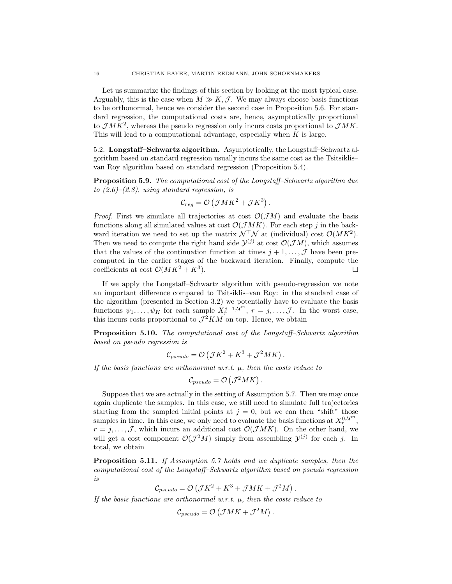Let us summarize the findings of this section by looking at the most typical case. Arguably, this is the case when  $M \gg K, \mathcal{J}$ . We may always choose basis functions to be orthonormal, hence we consider the second case in Proposition 5.6. For standard regression, the computational costs are, hence, asymptotically proportional to  $\mathcal{J}MK^2$ , whereas the pseudo regression only incurs costs proportional to  $\mathcal{J}MK$ . This will lead to a computational advantage, especially when  $K$  is large.

5.2. Longstaff–Schwartz algorithm. Asymptotically, the Longstaff–Schwartz algorithm based on standard regression usually incurs the same cost as the Tsitsiklis– van Roy algorithm based on standard regression (Proposition 5.4).

Proposition 5.9. The computational cost of the Longstaff–Schwartz algorithm due to  $(2.6)$ – $(2.8)$ , using standard regression, is

$$
\mathcal{C}_{reg} = \mathcal{O}(\mathcal{J}MK^2 + \mathcal{J}K^3).
$$

*Proof.* First we simulate all trajectories at cost  $\mathcal{O}(\mathcal{J}M)$  and evaluate the basis functions along all simulated values at cost  $\mathcal{O}(\mathcal{J}MK)$ . For each step j in the backward iteration we need to set up the matrix  $\mathcal{N}^{\top}\mathcal{N}$  at (individual) cost  $\mathcal{O}(MK^2)$ . Then we need to compute the right hand side  $\mathcal{Y}^{(j)}$  at cost  $\mathcal{O}(\mathcal{J}M)$ , which assumes that the values of the continuation function at times  $j + 1, \ldots, \mathcal{J}$  have been precomputed in the earlier stages of the backward iteration. Finally, compute the coefficients at cost  $\mathcal{O}(MK^2 + K^3)$ .  $\Box$ 

If we apply the Longstaff–Schwartz algorithm with pseudo-regression we note an important difference compared to Tsitsiklis–van Roy: in the standard case of the algorithm (presented in Section 3.2) we potentially have to evaluate the basis functions  $\psi_1, \ldots, \psi_K$  for each sample  $X_r^{j-1, \mathcal{U}^m}$ ,  $r = j, \ldots, \mathcal{J}$ . In the worst case, this incurs costs proportional to  $\mathcal{J}^2KM$  on top. Hence, we obtain

Proposition 5.10. The computational cost of the Longstaff–Schwartz algorithm based on pseudo regression is

$$
\mathcal{C}_{pseudo} = \mathcal{O}\left(\mathcal{J}K^2 + K^3 + \mathcal{J}^2 MK\right).
$$

If the basis functions are orthonormal w.r.t.  $\mu$ , then the costs reduce to

$$
\mathcal{C}_{pseudo} = \mathcal{O}(\mathcal{J}^2 MK).
$$

Suppose that we are actually in the setting of Assumption 5.7. Then we may once again duplicate the samples. In this case, we still need to simulate full trajectories starting from the sampled initial points at  $j = 0$ , but we can then "shift" those samples in time. In this case, we only need to evaluate the basis functions at  $X_r^{0, \mathcal{U}^m}$ ,  $r = j, \ldots, \mathcal{J}$ , which incurs an additional cost  $\mathcal{O}(\mathcal{J}MK)$ . On the other hand, we will get a cost component  $\mathcal{O}(\mathcal{J}^2M)$  simply from assembling  $\mathcal{Y}^{(j)}$  for each j. In total, we obtain

Proposition 5.11. If Assumption 5.7 holds and we duplicate samples, then the computational cost of the Longstaff–Schwartz algorithm based on pseudo regression is

$$
\mathcal{C}_{pseudo} = \mathcal{O}\left(\mathcal{J}K^2 + K^3 + \mathcal{J}MK + \mathcal{J}^2M\right).
$$

If the basis functions are orthonormal w.r.t.  $\mu$ , then the costs reduce to

$$
\mathcal{C}_{pseudo} = \mathcal{O}\left(\mathcal{J}MK + \mathcal{J}^2M\right).
$$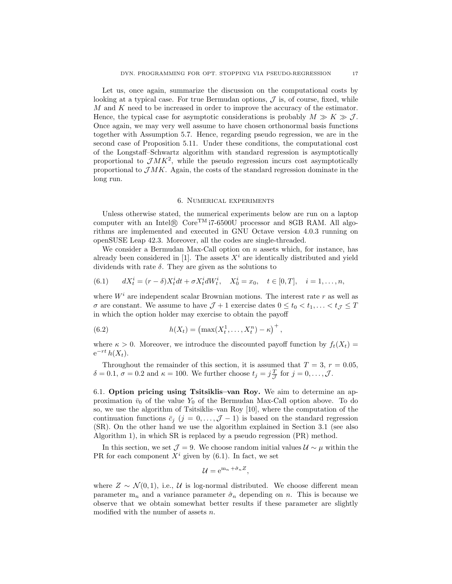Let us, once again, summarize the discussion on the computational costs by looking at a typical case. For true Bermudan options,  $\mathcal J$  is, of course, fixed, while M and K need to be increased in order to improve the accuracy of the estimator. Hence, the typical case for asymptotic considerations is probably  $M \gg K \gg \mathcal{J}$ . Once again, we may very well assume to have chosen orthonormal basis functions together with Assumption 5.7. Hence, regarding pseudo regression, we are in the second case of Proposition 5.11. Under these conditions, the computational cost of the Longstaff–Schwartz algorithm with standard regression is asymptotically proportional to  $\mathcal{J}MK^2$ , while the pseudo regression incurs cost asymptotically proportional to  $\mathcal{J}MK$ . Again, the costs of the standard regression dominate in the long run.

#### 6. Numerical experiments

Unless otherwise stated, the numerical experiments below are run on a laptop computer with an Intel $\Omega$  Core<sup>TM</sup> i7-6500U processor and 8GB RAM. All algorithms are implemented and executed in GNU Octave version 4.0.3 running on openSUSE Leap 42.3. Moreover, all the codes are single-threaded.

We consider a Bermudan Max-Call option on  $n$  assets which, for instance, has already been considered in [1]. The assets  $X<sup>i</sup>$  are identically distributed and yield dividends with rate  $\delta$ . They are given as the solutions to

(6.1) 
$$
dX_t^i = (r - \delta)X_t^i dt + \sigma X_t^i dW_t^i, \quad X_0^i = x_0, \quad t \in [0, T], \quad i = 1, ..., n,
$$

where  $W<sup>i</sup>$  are independent scalar Brownian motions. The interest rate r as well as  $\sigma$  are constant. We assume to have  $\mathcal{J} + 1$  exercise dates  $0 \le t_0 < t_1, \ldots < t_{\mathcal{J}} \le T$ in which the option holder may exercise to obtain the payoff

(6.2) 
$$
h(X_t) = (\max(X_t^1, ..., X_t^n) - \kappa)^+,
$$

where  $\kappa > 0$ . Moreover, we introduce the discounted payoff function by  $f_t(X_t) =$  $e^{-rt}h(X_t)$ .

Throughout the remainder of this section, it is assumed that  $T = 3$ ,  $r = 0.05$ ,  $\delta = 0.1, \sigma = 0.2$  and  $\kappa = 100$ . We further choose  $t_j = j\frac{T}{J}$  for  $j = 0, \ldots, J$ .

6.1. Option pricing using Tsitsiklis–van Roy. We aim to determine an approximation  $\bar{v}_0$  of the value  $Y_0$  of the Bermudan Max-Call option above. To do so, we use the algorithm of Tsitsiklis–van Roy [10], where the computation of the continuation functions  $\bar{c}_j$  (j = 0, ...,  $\mathcal{J}$  – 1) is based on the standard regression (SR). On the other hand we use the algorithm explained in Section 3.1 (see also Algorithm 1), in which SR is replaced by a pseudo regression (PR) method.

In this section, we set  $\mathcal{J} = 9$ . We choose random initial values  $\mathcal{U} \sim \mu$  within the PR for each component  $X^i$  given by (6.1). In fact, we set

$$
\mathcal{U} = e^{m_n + \hat{\sigma}_n Z},
$$

where  $Z \sim \mathcal{N}(0, 1)$ , i.e.,  $\mathcal{U}$  is log-normal distributed. We choose different mean parameter  $m_n$  and a variance parameter  $\hat{\sigma}_n$  depending on n. This is because we observe that we obtain somewhat better results if these parameter are slightly modified with the number of assets  $n$ .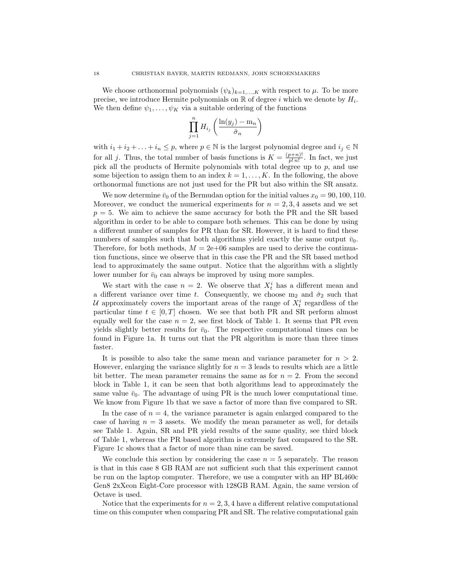We choose orthonormal polynomials  $(\psi_k)_{k=1,\dots,K}$  with respect to  $\mu$ . To be more precise, we introduce Hermite polynomials on  $\mathbb R$  of degree i which we denote by  $H_i$ . We then define  $\psi_1, \ldots, \psi_K$  via a suitable ordering of the functions

$$
\prod_{j=1}^{n} H_{i_j} \left( \frac{\ln(y_j) - \mathrm{m}_n}{\hat{\sigma}_n} \right)
$$

with  $i_1 + i_2 + \ldots + i_n \leq p$ , where  $p \in \mathbb{N}$  is the largest polynomial degree and  $i_j \in \mathbb{N}$ for all j. Thus, the total number of basis functions is  $K = \frac{(p+n)!}{n!n!}$  $\frac{p+n}{p! n!}$ . In fact, we just pick all the products of Hermite polynomials with total degree up to  $p$ , and use some bijection to assign them to an index  $k = 1, \ldots, K$ . In the following, the above orthonormal functions are not just used for the PR but also within the SR ansatz.

We now determine  $\bar{v}_0$  of the Bermudan option for the initial values  $x_0 = 90, 100, 110$ . Moreover, we conduct the numerical experiments for  $n = 2, 3, 4$  assets and we set  $p = 5$ . We aim to achieve the same accuracy for both the PR and the SR based algorithm in order to be able to compare both schemes. This can be done by using a different number of samples for PR than for SR. However, it is hard to find these numbers of samples such that both algorithms yield exactly the same output  $\bar{v}_0$ . Therefore, for both methods,  $M = 2e+06$  samples are used to derive the continuation functions, since we observe that in this case the PR and the SR based method lead to approximately the same output. Notice that the algorithm with a slightly lower number for  $\bar{v}_0$  can always be improved by using more samples.

We start with the case  $n = 2$ . We observe that  $X_t^i$  has a different mean and a different variance over time t. Consequently, we choose  $m_2$  and  $\hat{\sigma}_2$  such that U approximately covers the important areas of the range of  $X_t^i$  regardless of the particular time  $t \in [0, T]$  chosen. We see that both PR and SR perform almost equally well for the case  $n = 2$ , see first block of Table 1. It seems that PR even yields slightly better results for  $\bar{v}_0$ . The respective computational times can be found in Figure 1a. It turns out that the PR algorithm is more than three times faster.

It is possible to also take the same mean and variance parameter for  $n > 2$ . However, enlarging the variance slightly for  $n = 3$  leads to results which are a little bit better. The mean parameter remains the same as for  $n = 2$ . From the second block in Table 1, it can be seen that both algorithms lead to approximately the same value  $\bar{v}_0$ . The advantage of using PR is the much lower computational time. We know from Figure 1b that we save a factor of more than five compared to SR.

In the case of  $n = 4$ , the variance parameter is again enlarged compared to the case of having  $n = 3$  assets. We modify the mean parameter as well, for details see Table 1. Again, SR and PR yield results of the same quality, see third block of Table 1, whereas the PR based algorithm is extremely fast compared to the SR. Figure 1c shows that a factor of more than nine can be saved.

We conclude this section by considering the case  $n = 5$  separately. The reason is that in this case 8 GB RAM are not sufficient such that this experiment cannot be run on the laptop computer. Therefore, we use a computer with an HP BL460c Gen8 2xXeon Eight-Core processor with 128GB RAM. Again, the same version of Octave is used.

Notice that the experiments for  $n = 2, 3, 4$  have a different relative computational time on this computer when comparing PR and SR. The relative computational gain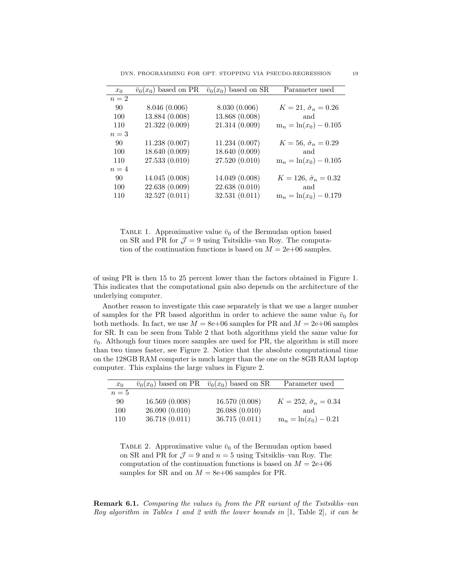| $x_0$ | $\bar{v}_0(x_0)$ based on PR | $\bar{v}_0(x_0)$ based on SR | Parameter used                   |
|-------|------------------------------|------------------------------|----------------------------------|
| $n=2$ |                              |                              |                                  |
| -90   | 8.046(0.006)                 | 8.030(0.006)                 | $K = 21, \hat{\sigma}_n = 0.26$  |
| 100   | 13.884 (0.008)               | 13.868 (0.008)               | and                              |
| 110   | 21.322(0.009)                | 21.314 (0.009)               | $m_n = ln(x_0) - 0.105$          |
| $n=3$ |                              |                              |                                  |
| -90   | 11.238(0.007)                | 11.234(0.007)                | $K = 56, \hat{\sigma}_n = 0.29$  |
| 100   | 18.640 (0.009)               | 18.640 (0.009)               | and                              |
| 110   | 27.533 (0.010)               | 27.520 (0.010)               | $m_n = \ln(x_0) - 0.105$         |
| $n=4$ |                              |                              |                                  |
| 90    | 14.045(0.008)                | 14.049 (0.008)               | $K = 126, \hat{\sigma}_n = 0.32$ |
| 100   | 22.638 (0.009)               | 22.638 (0.010)               | and                              |
| 110   | 32.527 (0.011)               | 32.531(0.011)                | $m_n = ln(x_0) - 0.179$          |

TABLE 1. Approximative value  $\bar{v}_0$  of the Bermudan option based on SR and PR for  $\mathcal{J} = 9$  using Tsitsiklis–van Roy. The computation of the continuation functions is based on  $M = 2e+06$  samples.

of using PR is then 15 to 25 percent lower than the factors obtained in Figure 1. This indicates that the computational gain also depends on the architecture of the underlying computer.

Another reason to investigate this case separately is that we use a larger number of samples for the PR based algorithm in order to achieve the same value  $\bar{v}_0$  for both methods. In fact, we use  $M = 8e+06$  samples for PR and  $M = 2e+06$  samples for SR. It can be seen from Table 2 that both algorithms yield the same value for  $\bar{v}_0$ . Although four times more samples are used for PR, the algorithm is still more than two times faster, see Figure 2. Notice that the absolute computational time on the 128GB RAM computer is much larger than the one on the 8GB RAM laptop computer. This explains the large values in Figure 2.

| $x_0$ | $\bar{v}_0(x_0)$ based on PR $\bar{v}_0(x_0)$ based on SR |               | Parameter used                   |
|-------|-----------------------------------------------------------|---------------|----------------------------------|
| $n=5$ |                                                           |               |                                  |
| 90    | 16.569(0.008)                                             | 16.570(0.008) | $K = 252, \hat{\sigma}_n = 0.34$ |
| 100   | 26.090(0.010)                                             | 26.088(0.010) | and                              |
| 110   | 36.718(0.011)                                             | 36.715(0.011) | $m_n = \ln(x_0) - 0.21$          |

TABLE 2. Approximative value  $\bar{v}_0$  of the Bermudan option based on SR and PR for  $\mathcal{J} = 9$  and  $n = 5$  using Tsitsiklis–van Roy. The computation of the continuation functions is based on  $M = 2e+06$ samples for SR and on  $M = 8e+06$  samples for PR.

**Remark 6.1.** Comparing the values  $\bar{v}_0$  from the PR variant of the Tsitsiklis–van Roy algorithm in Tables 1 and 2 with the lower bounds in [1, Table 2], it can be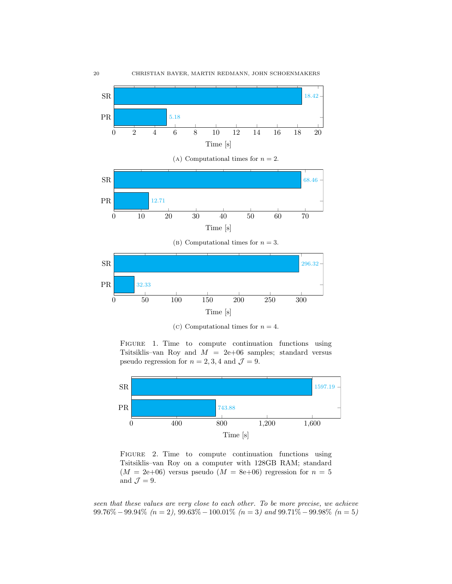

(c) Computational times for  $n = 4$ .

FIGURE 1. Time to compute continuation functions using Tsitsiklis–van Roy and  $M = 2e+06$  samples; standard versus pseudo regression for  $n = 2, 3, 4$  and  $\mathcal{J} = 9$ .



FIGURE 2. Time to compute continuation functions using Tsitsiklis–van Roy on a computer with 128GB RAM; standard  $(M = 2e+06)$  versus pseudo  $(M = 8e+06)$  regression for  $n = 5$ and  $\mathcal{J}=9$ .

seen that these values are very close to each other. To be more precise, we achieve  $99.76\% - 99.94\%$  (n = 2),  $99.63\% - 100.01\%$  (n = 3) and  $99.71\% - 99.98\%$  (n = 5)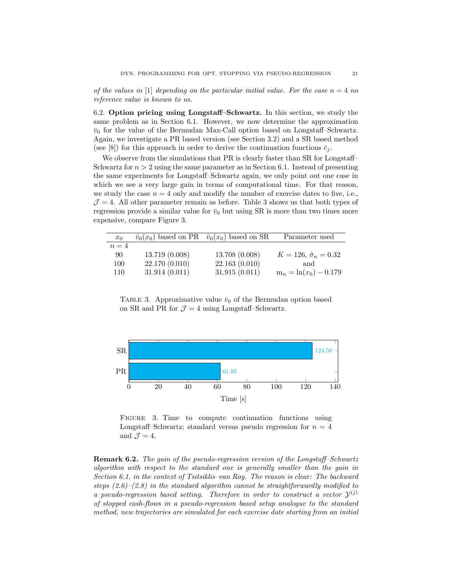of the values in [1] depending on the particular initial value. For the case  $n = 4$  no reference value is known to us.

6.2. Option pricing using Longstaff–Schwartz. In this section, we study the same problem as in Section 6.1. However, we now determine the approximation  $\bar{v}_0$  for the value of the Bermudan Max-Call option based on Longstaff–Schwartz. Again, we investigate a PR based version (see Section 3.2) and a SR based method (see [8]) for this approach in order to derive the continuation functions  $\bar{c}_i$ .

We observe from the simulations that PR is clearly faster than SR for Longstaff-Schwartz for  $n > 2$  using the same parameter as in Section 6.1. Instead of presenting the same experiments for Longstaff–Schwartz again, we only point out one case in which we see a very large gain in terms of computational time. For that reason, we study the case  $n = 4$  only and modify the number of exercise dates to five, i.e.,  $J = 4$ . All other parameter remain as before. Table 3 shows us that both types of regression provide a similar value for  $\bar{v}_0$  but using SR is more than two times more expensive, compare Figure 3.

| $x_0$ | $\bar{v}_0(x_0)$ based on PR $\bar{v}_0(x_0)$ based on SR |                | Parameter used                   |
|-------|-----------------------------------------------------------|----------------|----------------------------------|
| $n=4$ |                                                           |                |                                  |
| 90    | 13.719(0.008)                                             | 13.708 (0.008) | $K = 126, \hat{\sigma}_n = 0.32$ |
| 100   | 22.170 (0.010)                                            | 22.163(0.010)  | and                              |
| 110   | 31.914(0.011)                                             | 31.915(0.011)  | $m_n = ln(x_0) - 0.179$          |

TABLE 3. Approximative value  $\bar{v}_0$  of the Bermudan option based on SR and PR for  $\mathcal{J} = 4$  using Longstaff–Schwartz.



FIGURE 3. Time to compute continuation functions using Longstaff–Schwartz; standard versus pseudo regression for  $n = 4$ and  $\mathcal{J}=4$ .

Remark 6.2. The gain of the pseudo-regression version of the Longstaff–Schwartz algorithm with respect to the standard one is generally smaller than the gain in Section 6.1, in the context of Tsitsiklis–van Roy. The reason is clear: The backward steps  $(2.6)$ – $(2.8)$  in the standard algorithm cannot be straightforwardly modified to a pseudo-regression based setting. Therefore in order to construct a vector  $\mathcal{Y}^{(j)}$ of stopped cash-flows in a pseudo-regression based setup analogue to the standard method, new trajectories are simulated for each exercise date starting from an initial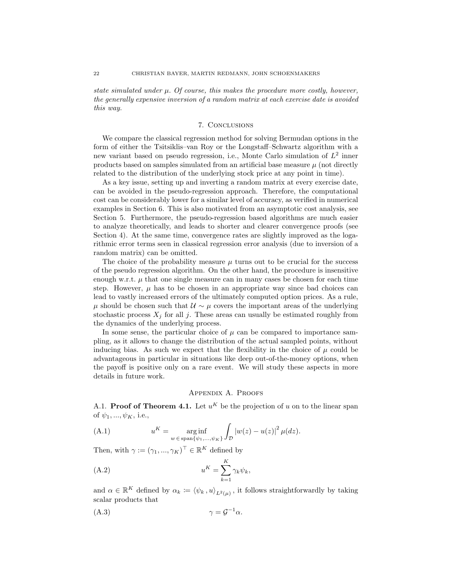state simulated under  $\mu$ . Of course, this makes the procedure more costly, however, the generally expensive inversion of a random matrix at each exercise date is avoided this way.

# 7. Conclusions

We compare the classical regression method for solving Bermudan options in the form of either the Tsitsiklis–van Roy or the Longstaff–Schwartz algorithm with a new variant based on pseudo regression, i.e., Monte Carlo simulation of  $L^2$  inner products based on samples simulated from an artificial base measure  $\mu$  (not directly related to the distribution of the underlying stock price at any point in time).

As a key issue, setting up and inverting a random matrix at every exercise date, can be avoided in the pseudo-regression approach. Therefore, the computational cost can be considerably lower for a similar level of accuracy, as verified in numerical examples in Section 6. This is also motivated from an asymptotic cost analysis, see Section 5. Furthermore, the pseudo-regression based algorithms are much easier to analyze theoretically, and leads to shorter and clearer convergence proofs (see Section 4). At the same time, convergence rates are slightly improved as the logarithmic error terms seen in classical regression error analysis (due to inversion of a random matrix) can be omitted.

The choice of the probability measure  $\mu$  turns out to be crucial for the success of the pseudo regression algorithm. On the other hand, the procedure is insensitive enough w.r.t.  $\mu$  that one single measure can in many cases be chosen for each time step. However,  $\mu$  has to be chosen in an appropriate way since bad choices can lead to vastly increased errors of the ultimately computed option prices. As a rule,  $\mu$  should be chosen such that  $\mathcal{U} \sim \mu$  covers the important areas of the underlying stochastic process  $X_i$  for all j. These areas can usually be estimated roughly from the dynamics of the underlying process.

In some sense, the particular choice of  $\mu$  can be compared to importance sampling, as it allows to change the distribution of the actual sampled points, without inducing bias. As such we expect that the flexibility in the choice of  $\mu$  could be advantageous in particular in situations like deep out-of-the-money options, when the payoff is positive only on a rare event. We will study these aspects in more details in future work.

# Appendix A. Proofs

A.1. Proof of Theorem 4.1. Let  $u^K$  be the projection of u on to the linear span of  $\psi_1, ..., \psi_K$ , i.e.,

(A.1) 
$$
u^{K} = \underset{w \in \text{span}\{\psi_{1},...,\psi_{K}\}}{\arg \inf} \int_{\mathcal{D}} |w(z) - u(z)|^{2} \mu(dz).
$$

Then, with  $\gamma := (\gamma_1, ..., \gamma_K)^\top \in \mathbb{R}^K$  defined by

$$
(A.2) \t uK = \sum_{k=1}^{K} \gamma_k \psi_k,
$$

and  $\alpha \in \mathbb{R}^K$  defined by  $\alpha_k := \langle \psi_k, u \rangle_{L^2(\mu)}$ , it follows straightforwardly by taking scalar products that

(A.3) γ = G <sup>−</sup><sup>1</sup>α.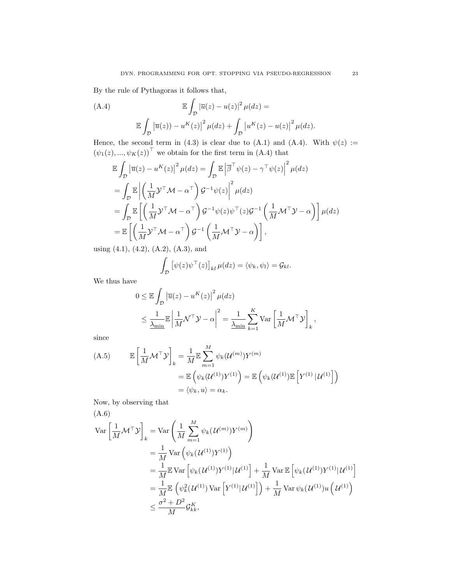By the rule of Pythagoras it follows that,

(A.4)  
\n
$$
\mathbb{E} \int_{\mathcal{D}} \left| \overline{u}(z) - u(z) \right|^2 \mu(dz) =
$$
\n
$$
\mathbb{E} \int_{\mathcal{D}} \left| \overline{u}(z) \right| - u^{K}(z) \left| \mu(dz) + \int_{\mathcal{D}} \left| u^{K}(z) - u(z) \right|^2 \mu(dz).
$$

Hence, the second term in (4.3) is clear due to (A.1) and (A.4). With  $\psi(z) :=$  $(\psi_1(z), ..., \psi_K(z))^{\top}$  we obtain for the first term in  $(A.4)$  that

$$
\mathbb{E} \int_{\mathcal{D}} \left| \overline{u}(z) - u^{K}(z) \right|^{2} \mu(dz) = \int_{\mathcal{D}} \mathbb{E} \left| \overline{\beta}^{\top} \psi(z) - \gamma^{\top} \psi(z) \right|^{2} \mu(dz)
$$
\n
$$
= \int_{\mathcal{D}} \mathbb{E} \left| \left( \frac{1}{M} \mathcal{Y}^{\top} \mathcal{M} - \alpha^{\top} \right) \mathcal{G}^{-1} \psi(z) \right|^{2} \mu(dz)
$$
\n
$$
= \int_{\mathcal{D}} \mathbb{E} \left[ \left( \frac{1}{M} \mathcal{Y}^{\top} \mathcal{M} - \alpha^{\top} \right) \mathcal{G}^{-1} \psi(z) \psi^{\top}(z) \mathcal{G}^{-1} \left( \frac{1}{M} \mathcal{M}^{\top} \mathcal{Y} - \alpha \right) \right] \mu(dz)
$$
\n
$$
= \mathbb{E} \left[ \left( \frac{1}{M} \mathcal{Y}^{\top} \mathcal{M} - \alpha^{\top} \right) \mathcal{G}^{-1} \left( \frac{1}{M} \mathcal{M}^{\top} \mathcal{Y} - \alpha \right) \right],
$$
\n
$$
\mathbb{E} \left[ \left( \frac{1}{M} \mathcal{Y}^{\top} \mathcal{M} - \alpha^{\top} \right) \mathcal{G}^{-1} \left( \frac{1}{M} \mathcal{M}^{\top} \mathcal{Y} - \alpha \right) \right],
$$

using (4.1), (4.2), (A.2), (A.3), and

$$
\int_{\mathcal{D}} \left[ \psi(z) \psi^\top(z) \right]_{kl} \mu(dz) = \langle \psi_k, \psi_l \rangle = \mathcal{G}_{kl}.
$$

We thus have

$$
0 \leq \mathbb{E} \int_{\mathcal{D}} \left| \overline{u}(z) - u^{K}(z) \right|^{2} \mu(dz)
$$
  

$$
\leq \frac{1}{\underline{\lambda_{\min}}} \mathbb{E} \left| \frac{1}{M} \mathcal{N}^{\top} \mathcal{Y} - \alpha \right|^{2} = \frac{1}{\underline{\lambda_{\min}}} \sum_{k=1}^{K} \text{Var} \left[ \frac{1}{M} \mathcal{M}^{\top} \mathcal{Y} \right]_{k},
$$

since

(A.5) 
$$
\mathbb{E}\left[\frac{1}{M}\mathcal{M}^{\top}\mathcal{Y}\right]_{k} = \frac{1}{M}\mathbb{E}\sum_{m=1}^{M}\psi_{k}(\mathcal{U}^{(m)})Y^{(m)}
$$

$$
= \mathbb{E}\left(\psi_{k}(\mathcal{U}^{(1)})Y^{(1)}\right) = \mathbb{E}\left(\psi_{k}(\mathcal{U}^{(1)})\mathbb{E}\left[Y^{(1)}\,|\,\mathcal{U}^{(1)}\right]\right)
$$

$$
= \langle\psi_{k},u\rangle = \alpha_{k}.
$$

Now, by observing that (A.6)

$$
\begin{split} \text{Var} \left[ \frac{1}{M} \mathcal{M}^{\top} \mathcal{Y} \right]_{k} &= \text{Var} \left( \frac{1}{M} \sum_{m=1}^{M} \psi_{k} (\mathcal{U}^{(m)}) Y^{(m)} \right) \\ &= \frac{1}{M} \text{Var} \left( \psi_{k} (\mathcal{U}^{(1)}) Y^{(1)} \right) \\ &= \frac{1}{M} \mathbb{E} \text{Var} \left[ \psi_{k} (\mathcal{U}^{(1)}) Y^{(1)} | \mathcal{U}^{(1)} \right] + \frac{1}{M} \text{Var} \mathbb{E} \left[ \psi_{k} (\mathcal{U}^{(1)}) Y^{(1)} | \mathcal{U}^{(1)} \right] \\ &= \frac{1}{M} \mathbb{E} \left( \psi_{k}^{2} (\mathcal{U}^{(1)}) \text{Var} \left[ Y^{(1)} | \mathcal{U}^{(1)} \right] \right) + \frac{1}{M} \text{Var} \psi_{k} (\mathcal{U}^{(1)}) u \left( \mathcal{U}^{(1)} \right) \\ &\leq \frac{\sigma^{2} + D^{2}}{M} \mathcal{G}_{kk}^{K}, \end{split}
$$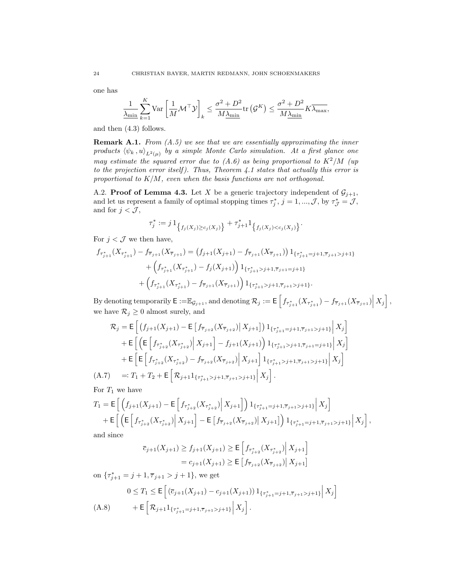one has

$$
\frac{1}{\lambda_{\min}}\sum_{k=1}^{K}\text{Var}\left[\frac{1}{M}\mathcal{M}^{\top}\mathcal{Y}\right]_{k} \leq \frac{\sigma^2 + D^2}{M\underline{\lambda_{\min}}}\text{tr}\left(\mathcal{G}^K\right) \leq \frac{\sigma^2 + D^2}{M\underline{\lambda_{\min}}}K\overline{\lambda_{\max}},
$$

and then (4.3) follows.

**Remark A.1.** From  $(A.5)$  we see that we are essentially approximating the inner products  $(\psi_k , u)_{L^2(\mu)}$  by a simple Monte Carlo simulation. At a first glance one may estimate the squared error due to  $(A.6)$  as being proportional to  $K^2/M$  (up to the projection error itself). Thus, Theorem  $4.1$  states that actually this error is proportional to  $K/M$ , even when the basis functions are not orthogonal.

A.2. **Proof of Lemma 4.3.** Let X be a generic trajectory independent of  $\mathcal{G}_{j+1}$ , and let us represent a family of optimal stopping times  $\tau_j^*, j = 1, ..., \mathcal{J}$ , by  $\tau_{\mathcal{J}}^* = \mathcal{J}$ , and for  $j < \mathcal{J}$ ,

$$
\tau_j^* := j \, 1_{\big\{ f_j(X_j) \ge c_j(X_j) \big\}} + \tau_{j+1}^* 1_{\big\{ f_j(X_j) < c_j(X_j) \big\}}.
$$

For  $j < \mathcal{J}$  we then have,

$$
f_{\tau_{j+1}^*}(X_{\tau_{j+1}^*}) - f_{\overline{\tau}_{j+1}}(X_{\overline{\tau}_{j+1}}) = (f_{j+1}(X_{j+1}) - f_{\overline{\tau}_{j+1}}(X_{\overline{\tau}_{j+1}})) 1_{\{\tau_{j+1}^* = j+1, \overline{\tau}_{j+1} > j+1\}} + \left(f_{\tau_{j+1}^*}(X_{\tau_{j+1}^*}) - f_j(X_{j+1})\right) 1_{\{\tau_{j+1}^* > j+1, \overline{\tau}_{j+1} = j+1\}} + \left(f_{\tau_{j+1}^*}(X_{\tau_{j+1}^*}) - f_{\overline{\tau}_{j+1}}(X_{\overline{\tau}_{j+1}})\right) 1_{\{\tau_{j+1}^* > j+1, \overline{\tau}_{j+1} > j+1\}}.
$$

By denoting temporarily  $\mathsf{E} := \mathbb{E}_{\mathcal{G}_{j+1}}$ , and denoting  $\mathcal{R}_j := \mathsf{E}\left[f_{\tau_{j+1}^*}(X_{\tau_{j+1}^*}) - f_{\overline{\tau}_{j+1}}(X_{\overline{\tau}_{j+1}})\Big|X_j\right]$ , we have  $\mathcal{R}_j \geq 0$  almost surely, and

$$
\mathcal{R}_{j} = \mathsf{E}\left[\left(f_{j+1}(X_{j+1}) - \mathsf{E}\left[f_{\overline{\tau}_{j+2}}(X_{\overline{\tau}_{j+2}}) \big| X_{j+1}\right]\right) \mathbf{1}_{\{\tau_{j+1}^{*} = j+1, \overline{\tau}_{j+1} > j+1\}} \Big| X_{j}\right] \n+ \mathsf{E}\left[\left(\mathsf{E}\left[f_{\tau_{j+2}^{*}}(X_{\tau_{j+2}^{*}}) \big| X_{j+1}\right] - f_{j+1}(X_{j+1})\right) \mathbf{1}_{\{\tau_{j+1}^{*} > j+1, \overline{\tau}_{j+1} = j+1\}} \Big| X_{j}\right] \n+ \mathsf{E}\left[\mathsf{E}\left[f_{\tau_{j+2}^{*}}(X_{\tau_{j+2}^{*}}) - f_{\overline{\tau}_{j+2}}(X_{\overline{\tau}_{j+2}}) \big| X_{j+1}\right] \mathbf{1}_{\{\tau_{j+1}^{*} > j+1, \overline{\tau}_{j+1} > j+1\}} \Big| X_{j}\right] \n(A.7) \quad =: T_{1} + T_{2} + \mathsf{E}\left[\mathcal{R}_{j+1} \mathbf{1}_{\{\tau_{j+1}^{*} > j+1, \overline{\tau}_{j+1} > j+1\}} \Big| X_{j}\right].
$$

For  $T_1$  we have

$$
T_1 = \mathsf{E}\left[\left(f_{j+1}(X_{j+1}) - \mathsf{E}\left[f_{\tau_{j+2}^*}(X_{\tau_{j+2}^*})\Big|X_{j+1}\right]\right)1_{\{\tau_{j+1}^* = j+1, \overline{\tau}_{j+1} > j+1\}}\Big|X_j\right] + \mathsf{E}\left[\left(\mathsf{E}\left[f_{\tau_{j+2}^*}(X_{\tau_{j+2}^*})\Big|X_{j+1}\right] - \mathsf{E}\left[f_{\overline{\tau}_{j+2}}(X_{\overline{\tau}_{j+2}})\Big|X_{j+1}\right]\right)1_{\{\tau_{j+1}^* = j+1, \overline{\tau}_{j+1} > j+1\}}\Big|X_j\right],
$$

and since

$$
\overline{c}_{j+1}(X_{j+1}) \ge f_{j+1}(X_{j+1}) \ge \mathsf{E}\left[f_{\tau_{j+2}^*}(X_{\tau_{j+2}^*})\Big|X_{j+1}\right] \\
= c_{j+1}(X_{j+1}) \ge \mathsf{E}\left[f_{\overline{\tau}_{j+2}}(X_{\overline{\tau}_{j+2}})\Big|X_{j+1}\right]
$$

on  $\{\tau_{j+1}^* = j+1, \overline{\tau}_{j+1} > j+1\}$ , we get

$$
0 \leq T_1 \leq \mathsf{E}\left[ \left( \overline{c}_{j+1}(X_{j+1}) - c_{j+1}(X_{j+1}) \right) \mathbf{1}_{\{\tau_{j+1}^* = j+1, \overline{\tau}_{j+1} > j+1\}} \Big| X_j \right] + \mathsf{E}\left[ \mathcal{R}_{j+1} \mathbf{1}_{\{\tau_{j+1}^* = j+1, \overline{\tau}_{j+1} > j+1\}} \Big| X_j \right].
$$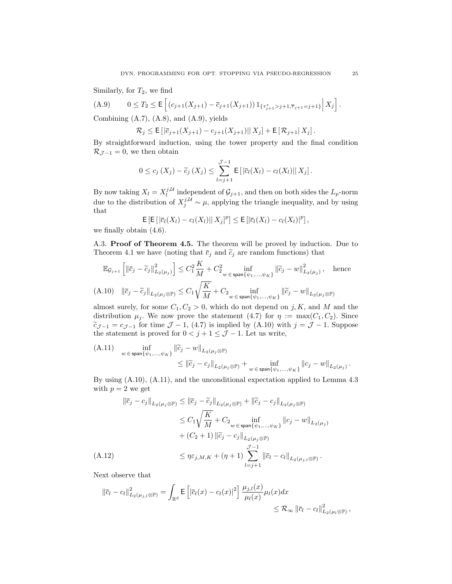Similarly, for  $T_2$ , we find

(A.9) 
$$
0 \leq T_2 \leq \mathsf{E}\left[ \left( c_{j+1}(X_{j+1}) - \overline{c}_{j+1}(X_{j+1}) \right) 1_{\{\tau_{j+1}^* > j+1, \overline{\tau}_{j+1} = j+1\}} \Big| X_j \right].
$$

Combining  $(A.7)$ ,  $(A.8)$ , and  $(A.9)$ , yields

 $\mathcal{R}_i \leq E\left[|\bar{c}_{i+1}(X_{i+1}) - c_{i+1}(X_{i+1})||X_i| + E[\mathcal{R}_{i+1}|X_i]\right].$ 

By straightforward induction, using the tower property and the final condition  $\mathcal{R}_{\mathcal{J}-1} = 0$ , we then obtain

$$
0 \leq c_j(X_j) - \widetilde{c}_j(X_j) \leq \sum_{l=j+1}^{J-1} \mathsf{E}\left[ \left| \overline{c}_l(X_l) - c_l(X_l) \right| \right| X_j \right].
$$

By now taking  $X_l = X_l^{j,\mathcal{U}}$  independent of  $\mathcal{G}_{j+1}$ , and then on both sides the  $L_p$ -norm due to the distribution of  $X_j^{j,\mathcal{U}} \sim \mu$ , applying the triangle inequality, and by using that

$$
\mathsf{E}\left[\mathsf{E}\left[\left|\overline{c}_l(X_l)-c_l(X_l)\right|\right|X_j]^p\right]\leq \mathsf{E}\left[\left|\overline{c}_l(X_l)-c_l(X_l)\right|^p\right],
$$
  
with (4.6)

we finally obtain (4.6).

A.3. Proof of Theorem 4.5. The theorem will be proved by induction. Due to Theorem 4.1 we have (noting that  $\bar{c}_j$  and  $\tilde{c}_j$  are random functions) that

$$
\mathbb{E}_{\mathcal{G}_{j+1}} \left[ \left\| \bar{c}_j - \tilde{c}_j \right\|_{L_2(\mu_j)}^2 \right] \leq C_1^2 \frac{K}{M} + C_2^2 \inf_{w \in \text{span}\{\psi_1, \dots, \psi_K\}} \left\| \tilde{c}_j - w \right\|_{L_2(\mu_j)}^2, \quad \text{hence}
$$
\n(A.10) 
$$
\left\| \bar{c}_j - \tilde{c}_j \right\|_{L_2(\mu_j \otimes \mathbb{P})} \leq C_1 \sqrt{\frac{K}{M}} + C_2 \inf_{w \in \text{span}\{\psi_1, \dots, \psi_K\}} \left\| \tilde{c}_j - w \right\|_{L_2(\mu_j \otimes \mathbb{P})}
$$

almost surely, for some  $C_1, C_2 > 0$ , which do not depend on j, K, and M and the distribution  $\mu_j$ . We now prove the statement (4.7) for  $\eta := \max(C_1, C_2)$ . Since  $\tilde{c}_{\mathcal{J}-1} = c_{\mathcal{J}-1}$  for time  $\mathcal{J}-1$ , (4.7) is implied by (A.10) with  $j = \mathcal{J}-1$ . Suppose the statement is proved for  $0 < j + 1 \leq \mathcal{J} - 1$ . Let us write,

(A.11) 
$$
\inf_{w \in \text{span}\{\psi_1, ..., \psi_K\}} ||\widetilde{c}_j - w||_{L_2(\mu_j \otimes \mathbb{P})} \leq ||\widetilde{c}_j - c_j||_{L_2(\mu_j \otimes \mathbb{P})} + \inf_{w \in \text{span}\{\psi_1, ..., \psi_K\}} ||c_j - w||_{L_2(\mu_j)}.
$$

By using (A.10), (A.11), and the unconditional expectation applied to Lemma 4.3 with  $p = 2$  we get

$$
\|\overline{c}_{j} - c_{j}\|_{L_{2}(\mu_{j} \otimes \mathbb{P})} \leq \|\overline{c}_{j} - \widetilde{c}_{j}\|_{L_{2}(\mu_{j} \otimes \mathbb{P})} + \|\widetilde{c}_{j} - c_{j}\|_{L_{2}(\mu_{j} \otimes \mathbb{P})}
$$

$$
\leq C_{1} \sqrt{\frac{K}{M}} + C_{2} \inf_{w \in \text{span}\{\psi_{1}, ..., \psi_{K}\}} \|c_{j} - w\|_{L_{2}(\mu_{j})}
$$

$$
+ (C_{2} + 1) \|\widetilde{c}_{j} - c_{j}\|_{L_{2}(\mu_{j} \otimes \mathbb{P})}
$$

$$
\leq \eta \varepsilon_{j,M,K} + (\eta + 1) \sum_{l=j+1}^{J-1} \|\overline{c}_{l} - c_{l}\|_{L_{2}(\mu_{j,l} \otimes \mathbb{P})}.
$$
(A.12)

Next observe that

$$
\|\overline{c}_{l} - c_{l}\|_{L_2(\mu_{j,l}\otimes\mathbb{P})}^2 = \int_{\mathbb{R}^d} \mathsf{E}\left[\left|\overline{c}_{l}(x) - c_{l}(x)\right|^2\right] \frac{\mu_{j,l}(x)}{\mu_{l}(x)} \mu_{l}(x) dx
$$
  
\$\leq \mathcal{R}\_{\infty} \|\overline{c}\_{l} - c\_{l}\|\_{L\_2(\mu\_{l}\otimes\mathbb{P})}^2,